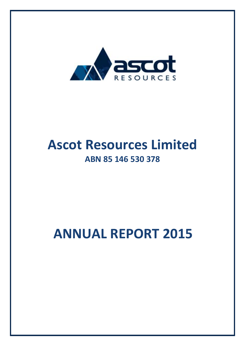

# **Ascot Resources Limited ABN 85 146 530 378**

# **ANNUAL REPORT 2015**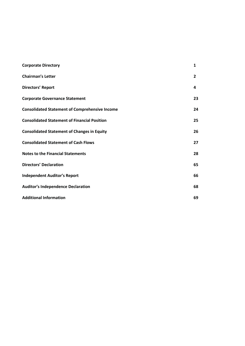| <b>Corporate Directory</b>                            | $\mathbf{1}$   |
|-------------------------------------------------------|----------------|
| <b>Chairman's Letter</b>                              | $\overline{2}$ |
| <b>Directors' Report</b>                              | 4              |
| <b>Corporate Governance Statement</b>                 | 23             |
| <b>Consolidated Statement of Comprehensive Income</b> | 24             |
| <b>Consolidated Statement of Financial Position</b>   | 25             |
| <b>Consolidated Statement of Changes in Equity</b>    | 26             |
| <b>Consolidated Statement of Cash Flows</b>           | 27             |
| <b>Notes to the Financial Statements</b>              | 28             |
| <b>Directors' Declaration</b>                         | 65             |
| <b>Independent Auditor's Report</b>                   | 66             |
| <b>Auditor's Independence Declaration</b>             | 68             |
| <b>Additional Information</b>                         | 69             |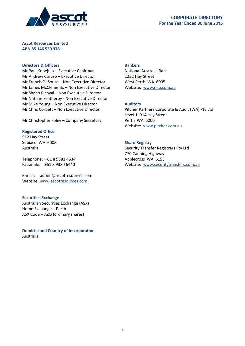

# **Ascot Resources Limited ABN 85 146 530 378**

#### **Directors & Officers**

Mr Paul Kopejtka - Executive Chairman Mr Andrew Caruso – Executive Director Mr Francis DeSouza - Non Executive Director Mr James McClements – Non Executive Director Mr Shahb Richyal – Non Executive Director Mr Nathan Featherby - Non Executive Director Mr Mike Young – Non Executive Director Mr Chris Corbett – Non Executive Director

Mr Christopher Foley – Company Secretary

### **Registered Office**

512 Hay Street Subiaco WA 6008 Australia

Telephone: +61 8 9381 4534 Facsimile: +61 8 9380 6440

E-mail: admin@ascotresources.com Website: www.ascotresources.com

#### **Securities Exchange**

Australian Securities Exchange (ASX) Home Exchange – Perth ASX Code – AZQ (ordinary shares)

**Domicile and Country of Incorporation**  Australia

#### **Bankers**

National Australia Bank 1232 Hay Street West Perth WA 6005 Website: www.nab.com.au

#### **Auditors**

Pitcher Partners Corporate & Audit (WA) Pty Ltd Level 1, 914 Hay Street Perth WA 6000 Website: www.pitcher.com.au

### **Share Registry**

Security Transfer Registrars Pty Ltd 770 Canning Highway Applecross WA 6153 Website: www.securitytransfers.com.au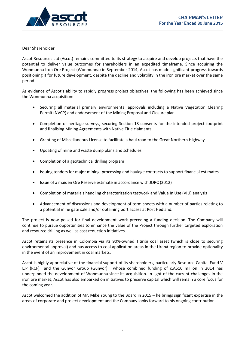

# Dear Shareholder

Ascot Resources Ltd (Ascot) remains committed to its strategy to acquire and develop projects that have the potential to deliver value outcomes for shareholders in an expedited timeframe. Since acquiring the Wonmunna Iron Ore Project (Wonmunna) in September 2014, Ascot has made significant progress towards positioning it for future development, despite the decline and volatility in the iron ore market over the same period.

As evidence of Ascot's ability to rapidly progress project objectives, the following has been achieved since the Wonmunna acquisition:

- Securing all material primary environmental approvals including a Native Vegetation Clearing Permit (NVCP) and endorsement of the Mining Proposal and Closure plan
- Completion of heritage surveys, securing Section 18 consents for the intended project footprint and finalising Mining Agreements with Native Title claimants
- x Granting of Miscellaneous License to facilitate a haul road to the Great Northern Highway
- Updating of mine and waste dump plans and schedules
- Completion of a geotechnical drilling program
- Issuing tenders for major mining, processing and haulage contracts to support financial estimates
- x Issue of a maiden Ore Reserve estimate in accordance with JORC (2012)
- x Completion of materials handling characterization testwork and Value In Use (VIU) analysis
- x Advancement of discussions and development of term sheets with a number of parties relating to a potential mine gate sale and/or obtaining port access at Port Hedland.

The project is now poised for final development work preceding a funding decision. The Company will continue to pursue opportunities to enhance the value of the Project through further targeted exploration and resource drilling as well as cost reduction initiatives.

Ascot retains its presence in Colombia via its 90%-owned Titiribi coal asset (which is close to securing environmental approval) and has access to coal application areas in the Urabá region to provide optionality in the event of an improvement in coal markets.

Ascot is highly appreciative of the financial support of its shareholders, particularly Resource Capital Fund V L.P (RCF) and the Gunvor Group (Gunvor), whose combined funding of c.A\$10 million in 2014 has underpinned the development of Wonmunna since its acquisition. In light of the current challenges in the iron ore market, Ascot has also embarked on initiatives to preserve capital which will remain a core focus for the coming year.

Ascot welcomed the addition of Mr. Mike Young to the Board in 2015 – he brings significant expertise in the areas of corporate and project development and the Company looks forward to his ongoing contribution.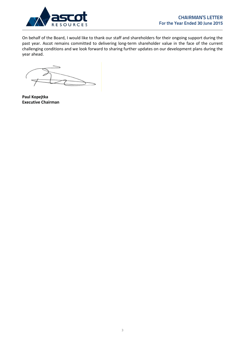

On behalf of the Board, I would like to thank our staff and shareholders for their ongoing support during the past year. Ascot remains committed to delivering long-term shareholder value in the face of the current challenging conditions and we look forward to sharing further updates on our development plans during the year ahead.

**Paul Kopejtka Executive Chairman**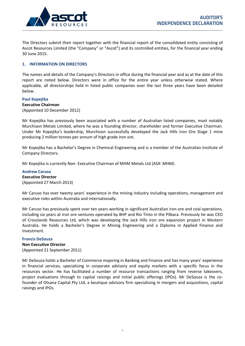

The Directors submit their report together with the financial report of the consolidated entity consisting of Ascot Resources Limited (the "Company" or "Ascot") and its controlled entities, for the financial year ending 30 June 2015.

# **1. INFORMATION ON DIRECTORS**

The names and details of the Company's Directors in office during the financial year and as at the date of this report are noted below. Directors were in office for the entire year unless otherwise stated. Where applicable, all directorships held in listed public companies over the last three years have been detailed below.

# **Paul Kopejtka**

# **Executive Chairman**  (Appointed 10 December 2012)

Mr Kopejtka has previously been associated with a number of Australian listed companies, most notably Murchison Metals Limited, where he was a founding director, shareholder and former Executive Chairman. Under Mr Kopejtka's leadership, Murchison successfully developed the Jack Hills Iron Ore Stage 1 mine producing 2 million tonnes per annum of high grade iron ore.

Mr Kopejtka has a Bachelor's Degree in Chemical Engineering and is a member of the Australian Institute of Company Directors.

Mr Kopejtka is currently Non- Executive Chairman of MHM Metals Ltd (ASX: MHM).

**Andrew Caruso Executive Director**  (Appointed 27 March 2013)

Mr Caruso has over twenty years' experience in the mining industry including operations, management and executive roles within Australia and internationally.

Mr Caruso has previously spent over ten years working in significant Australian iron ore and coal operations, including six years at iron ore ventures operated by BHP and Rio Tinto in the Pilbara. Previously he was CEO of Crosslands Resources Ltd, which was developing the Jack Hills iron ore expansion project in Western Australia. He holds a Bachelor's Degree in Mining Engineering and a Diploma in Applied Finance and Investment.

# **Francis DeSouza**

# **Non Executive Director**  (Appointed 21 September 2011)

Mr DeSouza holds a Bachelor of Commerce majoring in Banking and Finance and has many years' experience in financial services, specialising in corporate advisory and equity markets with a specific focus in the resources sector. He has facilitated a number of resource transactions ranging from reverse takeovers, project evaluations through to capital raisings and initial public offerings (IPOs). Mr DeSouza is the cofounder of Otsana Capital Pty Ltd, a boutique advisory firm specialising in mergers and acquisitions, capital raisings and IPOs.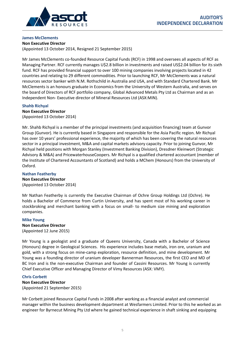

#### **James McClements**

#### **Non Executive Director**

(Appointed 13 October 2014, Resigned 21 September 2015)

Mr James McClements co-founded Resource Capital Funds (RCF) in 1998 and oversees all aspects of RCF as Managing Partner. RCF currently manages U\$2.8 billion in investments and raised US\$2.04 billion for its sixth fund. RCF has provided financial support to over 100 mining companies involving projects located in 42 countries and relating to 29 different commodities. Prior to launching RCF, Mr McClements was a natural resources sector banker with N.M. Rothschild in Australia and USA, and with Standard Chartered Bank. Mr McClements is an honours graduate in Economics from the University of Western Australia, and serves on the board of Directors of RCF portfolio company, Global Advanced Metals Pty Ltd as Chairman and as an Independent Non- Executive director of Mineral Resources Ltd (ASX:MIN).

#### **Shahb Richyal**

# **Non Executive Director**

(Appointed 13 October 2014)

Mr. Shahb Richyal is a member of the principal investments (and acquisition financing) team at Gunvor Group (Gunvor). He is currently based in Singapore and responsible for the Asia Pacific region. Mr Richyal has over 10 years' professional experience, the majority of which has been covering the natural resources sector in a principal investment, M&A and capital markets advisory capacity. Prior to joining Gunvor, Mr Richyal held positions with Morgan Stanley (Investment Banking Division), Dresdner Kleinwort (Strategic Advisory & M&A) and PricewaterhouseCoopers. Mr Richyal is a qualified chartered accountant (member of the Institute of Chartered Accountants of Scotland) and holds a MChem (Honours) from the University of Oxford.

# **Nathan Featherby**

**Non Executive Director**  (Appointed 13 October 2014)

Mr Nathan Featherby is currently the Executive Chairman of Ochre Group Holdings Ltd (Ochre). He holds a Bachelor of Commerce from Curtin University, and has spent most of his working career in stockbroking and merchant banking with a focus on small- to medium size mining and exploration companies.

#### **Mike Young**

**Non Executive Director**  (Appointed 12 June 2015)

Mr Young is a geologist and a graduate of Queens University, Canada with a Bachelor of Science (Honours) degree in Geological Sciences. His experience includes base metals, iron ore, uranium and gold, with a strong focus on mine-camp exploration, resource definition, and mine development. Mr Young was a founding director of uranium developer Bannerman Resources, the first CEO and MD of BC Iron and is the non-executive Chairman and founder of Cassini Resources. Mr Young is currently Chief Executive Officer and Managing Director of Vimy Resources (ASX: VMY).

#### **Chris Corbett**

# **Non Executive Director**

(Appointed 21 September 2015)

Mr Corbett joined Resource Capital Funds in 2008 after working as a financial analyst and commercial manager within the business development department at Wesfarmers Limited. Prior to this he worked as an engineer for Byrnecut Mining Pty Ltd where he gained technical experience in shaft sinking and equipping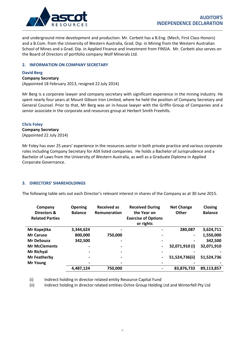

and underground mine development and production. Mr. Corbett has a B.Eng. (Mech, First Class Honors) and a B.Com. from the University of Western Australia, Grad. Dip. in Mining from the Western Australian School of Mines and a Grad. Dip. in Applied Finance and Investment from FINSIA. Mr. Corbett also serves on the Board of Directors of portfolio company Wolf Minerals Ltd.

# **2. INFORMATION ON COMPANY SECRETARY**

### **David Berg**

**Company Secretary**  (Appointed 18 February 2013, resigned 22 July 2014)

Mr Berg is a corporate lawyer and company secretary with significant experience in the mining industry. He spent nearly four years at Mount Gibson Iron Limited, where he held the position of Company Secretary and General Counsel. Prior to that, Mr Berg was an in-house lawyer with the Griffin Group of Companies and a senior associate in the corporate and resources group at Herbert Smith Freehills.

### **Chris Foley**

# **Company Secretary**  (Appointed 22 July 2014)

Mr Foley has over 25 years' experience in the resources sector in both private practice and various corporate roles including Company Secretary for ASX listed companies. He holds a Bachelor of Jurisprudence and a Bachelor of Laws from the University of Western Australia, as well as a Graduate Diploma in Applied Corporate Governance.

# **3. DIRECTORS' SHAREHOLDINGS**

The following table sets out each Director's relevant interest in shares of the Company as at 30 June 2015.

| Company<br>Directors &<br><b>Related Parties</b> | <b>Opening</b><br><b>Balance</b> | <b>Received as</b><br>Remuneration | <b>Received During</b><br>the Year on<br><b>Exercise of Options</b><br>or rights | <b>Net Change</b><br><b>Other</b> | <b>Closing</b><br><b>Balance</b> |
|--------------------------------------------------|----------------------------------|------------------------------------|----------------------------------------------------------------------------------|-----------------------------------|----------------------------------|
| Mr Kopejtka                                      | 3,344,624                        |                                    |                                                                                  | 280,087                           | 3,624,711                        |
| <b>Mr Caruso</b>                                 | 800,000                          | 750,000                            |                                                                                  | $\overline{\phantom{0}}$          | 1,550,000                        |
| <b>Mr DeSouza</b>                                | 342,500                          |                                    |                                                                                  |                                   | 342,500                          |
| <b>Mr McClements</b>                             |                                  |                                    | ۰                                                                                | 32,071,910 (i)                    | 32,071,910                       |
| <b>Mr Richyal</b>                                |                                  |                                    |                                                                                  |                                   |                                  |
| <b>Mr Featherby</b>                              |                                  |                                    | ٠                                                                                | 51,524,736(ii)                    | 51,524,736                       |
| <b>Mr Young</b>                                  |                                  |                                    |                                                                                  |                                   |                                  |
|                                                  | 4,487,124                        | 750,000                            |                                                                                  | 83,876,733                        | 89,113,857                       |

(i) Indirect holding in director related entity Resource Capital Fund

(ii) Indirect holding in director related entities Ochre Group Holding Ltd and Winterfell Pty Ltd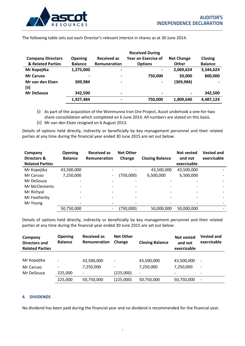

The following table sets out each Director's relevant interest in shares as at 30 June 2014.

|                          |                          |                    | <b>Received During</b>     |                   |                |
|--------------------------|--------------------------|--------------------|----------------------------|-------------------|----------------|
| <b>Company Directors</b> | <b>Opening</b>           | <b>Received as</b> | <b>Year on Exercise of</b> | <b>Net Change</b> | <b>Closing</b> |
| & Related Parties        | <b>Balance</b>           | Remuneration       | <b>Options</b>             | <b>Other</b>      | <b>Balance</b> |
| Mr Kopejtka              | 1,275,000                | $\blacksquare$     | $\blacksquare$             | 2,069,624         | 3,344,624      |
| <b>Mr Caruso</b>         | $\overline{\phantom{a}}$ | $\blacksquare$     | 750,000                    | 50,000            | 800,000        |
| Mr van den Elsen<br>(ii) | 309.984                  | $\blacksquare$     | $\blacksquare$             | (309, 984)        |                |
| Mr DeSouza               | 342,500                  | $\blacksquare$     | $\blacksquare$             | $\blacksquare$    | 342,500        |
|                          | 1,927,484                |                    | 750,000                    | 1,809,640         | 4,487,124      |

- (i) As part of the acquisition of the Wonmunna Iron Ore Project, Ascot undertook a one-for-two share consolidation which completed on 6 June 2014. All numbers are stated on this basis.
- (ii) Mr van den Elsen resigned on 6 August 2013.

Details of options held directly, indirectly or beneficially by key management personnel and their related parties at any time during the financial year ended 30 June 2015 are set out below:

| Company<br>Directors &<br><b>Related Parties</b> | <b>Opening</b><br><b>Balance</b> | <b>Received as</b><br><b>Remuneration</b> | <b>Net Other</b><br>Change | <b>Closing Balance</b>   | Not vested<br>and not<br>exercisable | <b>Vested and</b><br>exercisable |
|--------------------------------------------------|----------------------------------|-------------------------------------------|----------------------------|--------------------------|--------------------------------------|----------------------------------|
| Mr Kopejtka                                      | 43,500,000                       |                                           |                            | 43,500,000               | 43,500,000                           |                                  |
| Mr Caruso                                        | 7,250,000                        |                                           | (750,000)                  | 6,500,000                | 6,500,000                            |                                  |
| Mr DeSouza                                       |                                  |                                           |                            |                          |                                      |                                  |
| Mr McClements                                    |                                  |                                           |                            |                          |                                      |                                  |
| Mr Richyal                                       |                                  |                                           |                            |                          |                                      |                                  |
| Mr Featherby                                     |                                  |                                           |                            | $\overline{\phantom{0}}$ |                                      |                                  |
| Mr Young                                         |                                  |                                           |                            | -                        |                                      |                                  |
|                                                  | 50,750,000                       |                                           | (750,000)                  | 50,000,000               | 50,000,000                           |                                  |
|                                                  |                                  |                                           |                            |                          |                                      |                                  |

Details of options held directly, indirectly or beneficially by key management personnel and their related parties at any time during the financial year ended 30 June 2015 are set out below:

| Company<br><b>Directors and</b><br><b>Related Parties</b> | <b>Opening</b><br><b>Balance</b> | <b>Received as</b><br>Remuneration | <b>Net Other</b><br><b>Change</b> | <b>Closing Balance</b>   | <b>Not vested</b><br>and not<br>exercisable | <b>Vested and</b><br>exercisable |
|-----------------------------------------------------------|----------------------------------|------------------------------------|-----------------------------------|--------------------------|---------------------------------------------|----------------------------------|
|                                                           |                                  |                                    |                                   |                          |                                             |                                  |
| Mr Kopejtka                                               | $\overline{\phantom{a}}$         | 43,500,000                         | $\qquad \qquad \blacksquare$      | 43,500,000               | 43,500,000                                  | $\qquad \qquad \blacksquare$     |
| Mr Caruso                                                 |                                  | 7,250,000                          |                                   | 7,250,000                | 7,250,000                                   | -                                |
| Mr DeSouza                                                | 225,000                          | $\qquad \qquad \blacksquare$       | (225,000)                         | $\overline{\phantom{a}}$ | $\qquad \qquad$                             | -                                |
|                                                           | 225,000                          | 50,750,000                         | (225,000)                         | 50,750,000               | 50,750,000                                  | $\overline{\phantom{0}}$         |

# **4. DIVIDENDS**

No dividend has been paid during the financial year and no dividend is recommended for the financial year.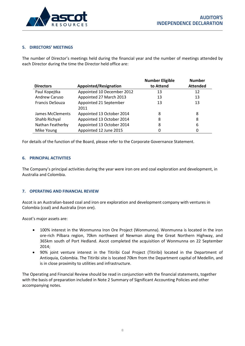

# **5. DIRECTORS' MEETINGS**

The number of Director's meetings held during the financial year and the number of meetings attended by each Director during the time the Director held office are:

|                        |                            | <b>Number Eligible</b> | <b>Number</b>   |
|------------------------|----------------------------|------------------------|-----------------|
| <b>Directors</b>       | Appointed/Resignation      | to Attend              | <b>Attended</b> |
| Paul Kopejtka          | Appointed 10 December 2012 | 13                     | 12              |
| Andrew Caruso          | Appointed 27 March 2013    | 13                     | 13              |
| <b>Francis DeSouza</b> | Appointed 21 September     | 13                     | 13              |
|                        | 2011                       |                        |                 |
| James McClements       | Appointed 13 October 2014  | 8                      | 8               |
| Shahb Richyal          | Appointed 13 October 2014  | 8                      | 8               |
| Nathan Featherby       | Appointed 13 October 2014  | 8                      | 6               |
| Mike Young             | Appointed 12 June 2015     | 0                      | 0               |

For details of the function of the Board, please refer to the Corporate Governance Statement.

# **6. PRINCIPAL ACTIVITIES**

The Company's principal activities during the year were iron ore and coal exploration and development, in Australia and Colombia.

# **7. OPERATING AND FINANCIAL REVIEW**

Ascot is an Australian-based coal and iron ore exploration and development company with ventures in Colombia (coal) and Australia (iron ore).

Ascot's major assets are:

- 100% interest in the Wonmunna Iron Ore Project (Wonmunna). Wonmunna is located in the iron ore-rich Pilbara region, 70km northwest of Newman along the Great Northern Highway, and 365km south of Port Hedland. Ascot completed the acquisition of Wonmunna on 22 September 2014;
- x 90% joint venture interest in the Titiribi Coal Project (Titiribi) located in the Department of Antioquia, Colombia. The Titiribi site is located 70km from the Department capital of Medellin, and is in close proximity to utilities and infrastructure.

The Operating and Financial Review should be read in conjunction with the financial statements, together with the basis of preparation included in Note 2 Summary of Significant Accounting Policies and other accompanying notes.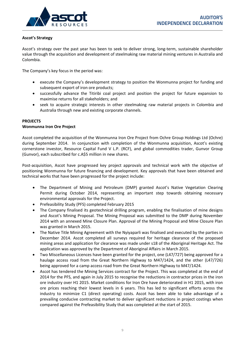

# **Ascot's Strategy**

Ascot's strategy over the past year has been to seek to deliver strong, long-term, sustainable shareholder value through the acquisition and development of steelmaking raw material mining ventures in Australia and Colombia.

The Company's key focus in the period was:

- execute the Company's development strategy to position the Wonmunna project for funding and subsequent export of iron ore products;
- successfully advance the Titiribi coal project and position the project for future expansion to maximise returns for all stakeholders; and
- seek to acquire strategic interests in other steelmaking raw material projects in Colombia and Australia through new and existing corporate channels.

### **PROJECTS**

### **Wonmunna Iron Ore Project**

Ascot completed the acquisition of the Wonmunna Iron Ore Project from Ochre Group Holdings Ltd (Ochre) during September 2014. In conjunction with completion of the Wonmunna acquisition, Ascot's existing cornerstone investor, Resource Capital Fund V L.P. (RCF), and global commodities trader, Gunvor Group (Gunvor), each subscribed for c.A\$5 million in new shares.

Post-acquisition, Ascot have progressed key project approvals and technical work with the objective of positioning Wonmunna for future financing and development. Key approvals that have been obtained and technical works that have been progressed for the project include:

- The Department of Mining and Petroleum (DMP) granted Ascot's Native Vegetation Clearing Permit during October 2014, representing an important step towards obtaining necessary environmental approvals for the Project.
- Prefeasibility Study (PFS) completed February 2015
- The Company finalised its geotechnical drilling program, enabling the finalisation of mine designs and Ascot's Mining Proposal. The Mining Proposal was submitted to the DMP during November 2014 with an annexed Mine Closure Plan. Approval of the Mining Proposal and Mine Closure Plan was granted in March 2015.
- The Native Title Mining Agreement with the Nyiyaparli was finalised and executed by the parties in December 2014. Ascot completed all surveys required for heritage clearance of the proposed mining areas and application for clearance was made under s18 of the Aboriginal Heritage Act. The application was approved by the Department of Aboriginal Affairs in March 2015.
- Two Miscellaneous Licences have been granted for the project, one (L47/727) being approved for a haulage access road from the Great Northern Highway to M47/1424, and the other (L47/726) being approved for a camp access road from the Great Northern Highway to M47/1424.
- Ascot has tendered the Mining Services contract for the Project. This was completed at the end of 2014 for the PFS, and again in July 2015 to recognise the reductions in contractor prices in the iron ore industry over H1 2015. Market conditions for Iron Ore have deteriorated in H1 2015, with iron ore prices reaching their lowest levels in 6 years. This has led to significant efforts across the industry to minimize C1 (direct operating) costs. Ascot has been able to take advantage of a prevailing conducive contracting market to deliver significant reductions in project costings when compared against the Prefeasibility Study that was completed at the start of 2015.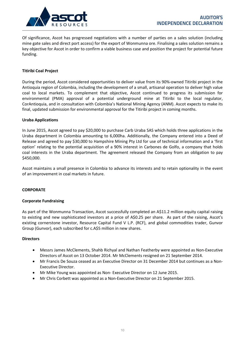

Of significance, Ascot has progressed negotiations with a number of parties on a sales solution (including mine gate sales and direct port access) for the export of Wonmunna ore. Finalising a sales solution remains a key objective for Ascot in order to confirm a viable business case and position the project for potential future funding.

# **Titiribi Coal Project**

During the period, Ascot considered opportunities to deliver value from its 90%-owned Titiribi project in the Antioquia region of Colombia, including the development of a small, artisanal operation to deliver high value coal to local markets. To complement that objective, Ascot continued to progress its submission for environmental (PMA) approval of a potential underground mine at Titiribi to the local regulator, CorAntioquia, and in consultation with Colombia's National Mining Agency (ANM). Ascot expects to make its final, updated submission for environmental approval for the Titiribi project in coming months.

# **Uraba Applications**

In June 2015, Ascot agreed to pay \$20,000 to purchase Carb Uraba SAS which holds three applications in the Uraba department in Colombia amounting to 6,000ha. Additionally, the Company entered into a Deed of Release and agreed to pay \$30,000 to Hampshire Mining Pty Ltd for use of technical information and a 'first option' relating to the potential acquisition of a 90% interest in Carbones de Golfo, a company that holds coal interests in the Uraba department. The agreement released the Company from an obligation to pay \$450,000.

Ascot maintains a small presence in Colombia to advance its interests and to retain optionality in the event of an improvement in coal markets in future.

# **CORPORATE**

#### **Corporate Fundraising**

As part of the Wonmunna Transaction, Ascot successfully completed an A\$11.2 million equity capital raising to existing and new sophisticated investors at a price of A\$0.25 per share. As part of the raising, Ascot's existing cornerstone investor, Resource Capital Fund V L.P. (RCF), and global commodities trader, Gunvor Group (Gunvor), each subscribed for c.A\$5 million in new shares.

#### **Directors**

- x Messrs James McClements, Shahb Richyal and Nathan Featherby were appointed as Non-Executive Directors of Ascot on 13 October 2014. Mr McClements resigned on 21 September 2014.
- x Mr Francis De Souza ceased as an Executive Director on 31 December 2014 but continues as a Non-Executive Director.
- x Mr Mike Young was appointed as Non- Executive Director on 12 June 2015.
- x Mr Chris Corbett was appointed as a Non-Executive Director on 21 September 2015.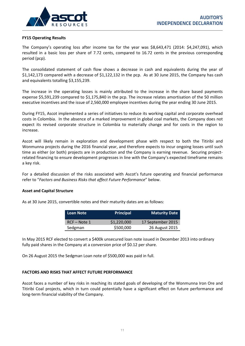

# **FY15 Operating Results**

The Company's operating loss after income tax for the year was \$8,643,471 (2014: \$4,247,091), which resulted in a basic loss per share of 7.72 cents, compared to 16.72 cents in the previous corresponding period (pcp).

The consolidated statement of cash flow shows a decrease in cash and equivalents during the year of \$1,142,173 compared with a decrease of \$1,122,132 in the pcp. As at 30 June 2015, the Company has cash and equivalents totalling \$3,155,239.

The increase in the operating losses is mainly attributed to the increase in the share based payments expense \$5,591,239 compared to \$1,175,840 in the pcp. The increase relates amortisation of the 50 million executive incentives and the issue of 2,560,000 employee incentives during the year ending 30 June 2015.

During FY15, Ascot implemented a series of initiatives to reduce its working capital and corporate overhead costs in Colombia. In the absence of a marked improvement in global coal markets, the Company does not expect its revised corporate structure in Colombia to materially change and for costs in the region to increase.

Ascot will likely remain in exploration and development phase with respect to both the Titiribi and Wonmunna projects during the 2016 financial year, and therefore expects to incur ongoing losses until such time as either (or both) projects are in production and the Company is earning revenue. Securing projectrelated financing to ensure development progresses in line with the Company's expected timeframe remains a key risk.

For a detailed discussion of the risks associated with Ascot's future operating and financial performance refer to "*Factors and Business Risks that affect Future Performance*" below.

# **Asset and Capital Structure**

As at 30 June 2015, convertible notes and their maturity dates are as follows:

| <b>Loan Note</b> | <b>Principal</b> | <b>Maturity Date</b> |
|------------------|------------------|----------------------|
| $RCF - Note 1$   | \$1,220,000      | 17 September 2015    |
| Sedgman          | \$500,000        | 26 August 2015       |

In May 2015 RCF elected to convert a \$400k unsecured loan note issued in December 2013 into ordinary fully paid shares in the Company at a conversion price of \$0.12 per share.

On 26 August 2015 the Sedgman Loan note of \$500,000 was paid in full.

# **FACTORS AND RISKS THAT AFFECT FUTURE PERFORMANCE**

Ascot faces a number of key risks in reaching its stated goals of developing of the Wonmunna Iron Ore and Titiribi Coal projects, which in turn could potentially have a significant effect on future performance and long-term financial viability of the Company.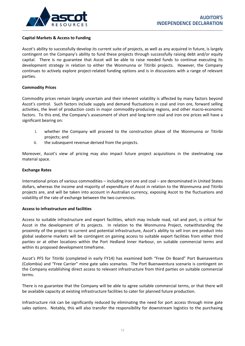

# **Capital Markets & Access to Funding**

Ascot's ability to successfully develop its current suite of projects, as well as any acquired in future, is largely contingent on the Company's ability to fund these projects through successfully raising debt and/or equity capital. There is no guarantee that Ascot will be able to raise needed funds to continue executing its development strategy in relation to either the Wonmunna or Titiribi projects. However, the Company continues to actively explore project-related funding options and is in discussions with a range of relevant parties.

# **Commodity Prices**

Commodity prices remain largely uncertain and their inherent volatility is affected by many factors beyond Ascot's control. Such factors include supply and demand fluctuations in coal and iron ore, forward selling activities, the level of production costs in major commodity-producing regions, and other macro-economic factors. To this end, the Company's assessment of short and long-term coal and iron ore prices will have a significant bearing on:

- i. whether the Company will proceed to the construction phase of the Wonmunna or Titiribi projects; and
- ii. the subsequent revenue derived from the projects.

Moreover, Ascot's view of pricing may also impact future project acquisitions in the steelmaking raw material space.

# **Exchange Rates**

International prices of various commodities – including iron ore and coal – are denominated in United States dollars, whereas the income and majority of expenditure of Ascot in relation to the Wonmunna and Titiribi projects are, and will be taken into account in Australian currency, exposing Ascot to the fluctuations and volatility of the rate of exchange between the two currencies.

# **Access to infrastructure and facilities**

Access to suitable infrastructure and export facilities, which may include road, rail and port, is critical for Ascot in the development of its projects. In relation to the Wonmunna Project, notwithstanding the proximity of the project to current and potential infrastructure, Ascot's ability to sell iron ore product into global seaborne markets will be contingent on gaining access to suitable export facilities from either third parties or at other locations within the Port Hedland Inner Harbour, on suitable commercial terms and within its proposed development timeframe.

Ascot's PFS for Titiribi (completed in early FY14) has examined both "Free On Board" Port Buenaventura (Colombia) and "Free Carrier" mine gate sales scenarios. The Port Buenaventura scenario is contingent on the Company establishing direct access to relevant infrastructure from third parties on suitable commercial terms.

There is no guarantee that the Company will be able to agree suitable commercial terms, or that there will be available capacity at existing infrastructure facilities to cater for planned future production.

Infrastructure risk can be significantly reduced by eliminating the need for port access through mine gate sales options. Notably, this will also transfer the responsibility for downstream logistics to the purchasing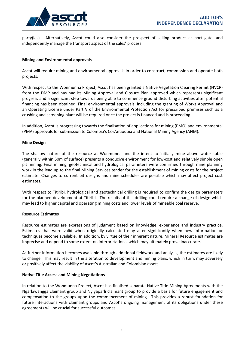

party(ies). Alternatively, Ascot could also consider the prospect of selling product at port gate, and independently manage the transport aspect of the sales' process.

# **Mining and Environmental approvals**

Ascot will require mining and environmental approvals in order to construct, commission and operate both projects.

With respect to the Wonmunna Project, Ascot has been granted a Native Vegetation Clearing Permit (NVCP) from the DMP and has had its Mining Approval and Closure Plan approved which represents significant progress and a significant step towards being able to commence ground disturbing activities after potential financing has been obtained. Final environmental approvals, including the granting of Works Approval and an Operating License under Part V of the Environmental Protection Act for prescribed premises such as a crushing and screening plant will be required once the project is financed and is proceeding.

In addition, Ascot is progressing towards the finalisation of applications for mining (PMO) and environmental (PMA) approvals for submission to Colombia's CorAntioquia and National Mining Agency (ANM).

### **Mine Design**

The shallow nature of the resource at Wonmunna and the intent to initially mine above water table (generally within 50m of surface) presents a conducive environment for low-cost and relatively simple open pit mining. Final mining, geotechnical and hydrological parameters were confirmed through mine planning work in the lead up to the final Mining Services tender for the establishment of mining costs for the project estimate. Changes to current pit designs and mine schedules are possible which may affect project cost estimates.

With respect to Titiribi, hydrological and geotechnical drilling is required to confirm the design parameters for the planned development at Titiribi. The results of this drilling could require a change of design which may lead to higher capital and operating mining costs and lower levels of mineable coal reserve.

# **Resource Estimates**

Resource estimates are expressions of judgment based on knowledge, experience and industry practice. Estimates that were valid when originally calculated may alter significantly when new information or techniques become available. In addition, by virtue of their inherent nature, Mineral Resource estimates are imprecise and depend to some extent on interpretations, which may ultimately prove inaccurate.

As further information becomes available through additional fieldwork and analysis, the estimates are likely to change. This may result in the alteration to development and mining plans, which in turn, may adversely or positively affect the viability of Ascot's Australian and Colombian assets.

#### **Native Title Access and Mining Negotiations**

In relation to the Wonmunna Project, Ascot has finalised separate Native Title Mining Agreements with the Ngarlawangga claimant group and Nyiyaparli claimant group to provide a basis for future engagement and compensation to the groups upon the commencement of mining. This provides a robust foundation for future interactions with claimant groups and Ascot's ongoing management of its obligations under these agreements will be crucial for successful outcomes.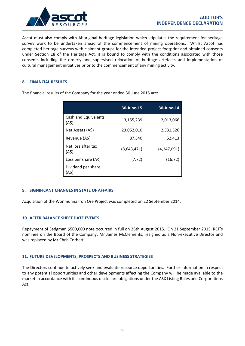

Ascot must also comply with Aboriginal heritage legislation which stipulates the requirement for heritage survey work to be undertaken ahead of the commencement of mining operations. Whilst Ascot has completed heritage surveys with claimant groups for the intended project footprint and obtained consents under Section 18 of the Heritage Act, it is bound to comply with the conditions associated with those consents including the orderly and supervised relocation of heritage artefacts and implementation of cultural management initiatives prior to the commencement of any mining activity.

### **8. FINANCIAL RESULTS**

|                              | 30-June-15  | 30-June-14    |
|------------------------------|-------------|---------------|
| Cash and Equivalents<br>(A5) | 3,155,239   | 2,013,066     |
| Net Assets (A\$)             | 23,052,010  | 2,331,526     |
| Revenue (A\$)                | 87,540      | 52,413        |
| Net loss after tax<br>(A\$)  | (8,643,471) | (4, 247, 091) |
| Loss per share $(A \zeta)$   | (7.72)      | (16.72)       |
| Dividend per share<br>(A\$)  |             |               |

The financial results of the Company for the year ended 30 June 2015 are:

# **9. SIGNIFICANT CHANGES IN STATE OF AFFAIRS**

Acquisition of the Wonmunna Iron Ore Project was completed on 22 September 2014.

# **10. AFTER BALANCE SHEET DATE EVENTS**

Repayment of Sedgman \$500,000 note occurred in full on 26th August 2015. On 21 September 2015, RCF's nominee on the Board of the Company, Mr James McClements, resigned as a Non-executive Director and was replaced by Mr Chris Corbett.

# **11. FUTURE DEVELOPMENTS, PROSPECTS AND BUSINESS STRATEGIES**

The Directors continue to actively seek and evaluate resource opportunities. Further information in respect to any potential opportunities and other developments affecting the Company will be made available to the market in accordance with its continuous disclosure obligations under the ASX Listing Rules and Corporations Act.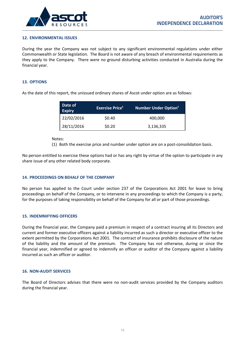

# **12. ENVIRONMENTAL ISSUES**

During the year the Company was not subject to any significant environmental regulations under either Commonwealth or State legislation. The Board is not aware of any breach of environmental requirements as they apply to the Company. There were no ground disturbing activities conducted in Australia during the financial year.

### **13. OPTIONS**

As the date of this report, the unissued ordinary shares of Ascot under option are as follows:

| Date of<br><b>Expiry</b> | <b>Exercise Price<sup>1</sup></b> | <b>Number Under Option<sup>1</sup></b> |
|--------------------------|-----------------------------------|----------------------------------------|
| 22/02/2016               | \$0.40                            | 400,000                                |
| 28/11/2016               | \$0.20                            | 3,136,335                              |

Notes:

(1) Both the exercise price and number under option are on a post-consolidation basis.

No person entitled to exercise these options had or has any right by virtue of the option to participate in any share issue of any other related body corporate.

# **14. PROCEEDINGS ON BEHALF OF THE COMPANY**

No person has applied to the Court under section 237 of the Corporations Act 2001 for leave to bring proceedings on behalf of the Company, or to intervene in any proceedings to which the Company is a party, for the purposes of taking responsibility on behalf of the Company for all or part of those proceedings.

#### **15. INDEMNIFYING OFFICERS**

During the financial year, the Company paid a premium in respect of a contract insuring all its Directors and current and former executive officers against a liability incurred as such a director or executive officer to the extent permitted by the Corporations Act 2001. The contract of insurance prohibits disclosure of the nature of the liability and the amount of the premium. The Company has not otherwise, during or since the financial year, indemnified or agreed to indemnify an officer or auditor of the Company against a liability incurred as such an officer or auditor.

#### **16. NON-AUDIT SERVICES**

The Board of Directors advises that there were no non-audit services provided by the Company auditors during the financial year.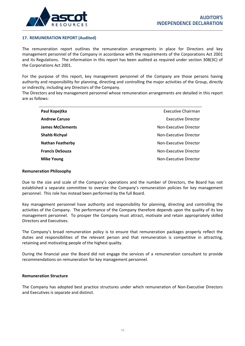

# **17. REMUNERATION REPORT (Audited)**

The remuneration report outlines the remuneration arrangements in place for Directors and key management personnel of the Company in accordance with the requirements of the Corporations Act 2001 and its Regulations. The information in this report has been audited as required under section 308(3C) of the Corporations Act 2001.

For the purpose of this report, key management personnel of the Company are those persons having authority and responsibility for planning, directing and controlling the major activities of the Group, directly or indirectly, including any Directors of the Company.

The Directors and key management personnel whose remuneration arrangements are detailed in this report are as follows:

| Paul Kopejtka           | Executive Chairman     |
|-------------------------|------------------------|
| <b>Andrew Caruso</b>    | Executive Director     |
| <b>James McClements</b> | Non-Executive Director |
| <b>Shahb Richyal</b>    | Non-Executive Director |
| <b>Nathan Featherby</b> | Non-Executive Director |
| <b>Francis DeSouza</b>  | Non-Executive Director |
| <b>Mike Young</b>       | Non-Executive Director |

#### **Remuneration Philosophy**

Due to the size and scale of the Company's operations and the number of Directors, the Board has not established a separate committee to oversee the Company's remuneration policies for key management personnel. This role has instead been performed by the full Board.

Key management personnel have authority and responsibility for planning, directing and controlling the activities of the Company. The performance of the Company therefore depends upon the quality of its key management personnel. To prosper the Company must attract, motivate and retain appropriately skilled Directors and Executives.

The Company's broad remuneration policy is to ensure that remuneration packages properly reflect the duties and responsibilities of the relevant person and that remuneration is competitive in attracting, retaining and motivating people of the highest quality.

During the financial year the Board did not engage the services of a remuneration consultant to provide recommendations on remuneration for key management personnel.

#### **Remuneration Structure**

The Company has adopted best practice structures under which remuneration of Non-Executive Directors and Executives is separate and distinct.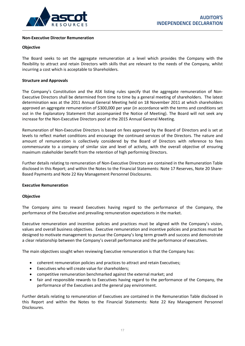

# **Non-Executive Director Remuneration**

# **Objective**

The Board seeks to set the aggregate remuneration at a level which provides the Company with the flexibility to attract and retain Directors with skills that are relevant to the needs of the Company, whilst incurring a cost which is acceptable to Shareholders.

# **Structure and Approvals**

The Company's Constitution and the ASX listing rules specify that the aggregate remuneration of Non-Executive Directors shall be determined from time to time by a general meeting of shareholders. The latest determination was at the 2011 Annual General Meeting held on 18 November 2011 at which shareholders approved an aggregate remuneration of \$300,000 per year (in accordance with the terms and conditions set out in the Explanatory Statement that accompanied the Notice of Meeting). The Board will not seek any increase for the Non-Executive Directors pool at the 2015 Annual General Meeting.

Remuneration of Non-Executive Directors is based on fees approved by the Board of Directors and is set at levels to reflect market conditions and encourage the continued services of the Directors. The nature and amount of remuneration is collectively considered by the Board of Directors with reference to fees commensurate to a company of similar size and level of activity, with the overall objective of ensuring maximum stakeholder benefit from the retention of high performing Directors.

Further details relating to remuneration of Non-Executive Directors are contained in the Remuneration Table disclosed in this Report; and within the Notes to the Financial Statements: Note 17 Reserves, Note 20 Share-Based Payments and Note 22 Key Management Personnel Disclosures.

# **Executive Remuneration**

# **Objective**

The Company aims to reward Executives having regard to the performance of the Company, the performance of the Executive and prevailing remuneration expectations in the market.

Executive remuneration and incentive policies and practices must be aligned with the Company's vision, values and overall business objectives. Executive remuneration and incentive policies and practices must be designed to motivate management to pursue the Company's long term growth and success and demonstrate a clear relationship between the Company's overall performance and the performance of executives.

The main objectives sought when reviewing Executive remuneration is that the Company has:

- coherent remuneration policies and practices to attract and retain Executives;
- Executives who will create value for shareholders;
- competitive remuneration benchmarked against the external market; and
- fair and responsible rewards to Executives having regard to the performance of the Company, the performance of the Executives and the general pay environment.

Further details relating to remuneration of Executives are contained in the Remuneration Table disclosed in this Report and within the Notes to the Financial Statements: Note 22 Key Management Personnel Disclosures.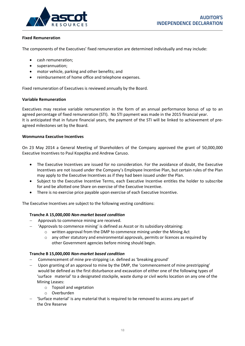

# **Fixed Remuneration**

The components of the Executives' fixed remuneration are determined individually and may include:

- cash remuneration;
- superannuation;
- motor vehicle, parking and other benefits; and
- reimbursement of home office and telephone expenses.

Fixed remuneration of Executives is reviewed annually by the Board.

# **Variable Remuneration**

Executives may receive variable remuneration in the form of an annual performance bonus of up to an agreed percentage of fixed remuneration (STI). No STI payment was made in the 2015 financial year. It is anticipated that in future financial years, the payment of the STI will be linked to achievement of preagreed milestones set by the Board.

# **Wonmunna Executive Incentives**

On 23 May 2014 a General Meeting of Shareholders of the Company approved the grant of 50,000,000 Executive Incentives to Paul Kopejtka and Andrew Caruso.

- The Executive Incentives are issued for no consideration. For the avoidance of doubt, the Executive Incentives are not issued under the Company's Employee Incentive Plan, but certain rules of the Plan may apply to the Executive Incentives as if they had been issued under the Plan.
- Subject to the Executive Incentive Terms, each Executive Incentive entitles the holder to subscribe for and be allotted one Share on exercise of the Executive Incentive.
- There is no exercise price payable upon exercise of each Executive Incentive.

The Executive Incentives are subject to the following vesting conditions:

# **Tranche A 15,000,000** *Non-market based condition*

- Approvals to commence mining are received.
	- 'Approvals to commence mining' is defined as Ascot or its subsidiary obtaining:
		- $\circ$  written approval from the DMP to commence mining under the Mining Act
		- $\circ$  any other statutory and environmental approvals, permits or licences as required by other Government agencies before mining should begin.

# **Tranche B 15,000,000** *Non-market based condition*

- Commencement of mine pre-stripping i.e. defined as 'breaking ground'
- Upon granting of an approval to mine by the DMP, the 'commencement of mine prestripping' would be defined as the first disturbance and excavation of either one of the following types of 'surface material' to a designated stockpile, waste dump or civil works location on any one of the Mining Leases:
	- o Topsoil and vegetation
	- o Overburden
- 'Surface material' is any material that is required to be removed to access any part of the Ore Reserve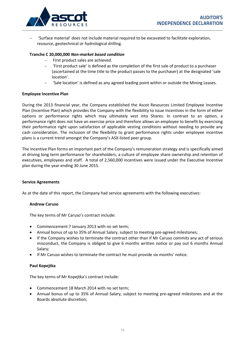

 'Surface material' does not include material required to be excavated to facilitate exploration, resource, geotechnical or hydrological drilling.

# **Tranche C 20,000,000 Non-market based condition**

- First product sales are achieved.
- 'First product sale' is defined as the completion of the first sale of product to a purchaser (ascertained at the time title to the product passes to the purchaser) at the designated 'sale location'.
- 'Sale location' is defined as any agreed loading point within or outside the Mining Leases.

# **Employee Incentive Plan**

During the 2013 financial year, the Company established the Ascot Resources Limited Employee Incentive Plan (Incentive Plan) which provides the Company with the flexibility to issue Incentives in the form of either options or performance rights which may ultimately vest into Shares. In contrast to an option, a performance right does not have an exercise price and therefore allows an employee to benefit by exercising their performance right upon satisfaction of applicable vesting conditions without needing to provide any cash consideration. The inclusion of the flexibility to grant performance rights under employee incentive plans is a current trend amongst the Company's ASX-listed peer group.

The Incentive Plan forms an important part of the Company's remuneration strategy and is specifically aimed at driving long term performance for shareholders, a culture of employee share ownership and retention of executives, employees and staff. A total of 2,560,000 incentives were issued under the Executive Incentive plan during the year ending 30 June 2015.

# **Service Agreements**

As at the date of this report, the Company had service agreements with the following executives:

# **Andrew Caruso**

The key terms of Mr Caruso's contract include:

- Commencement 7 January 2013 with no set term;
- x Annual bonus of up to 35% of Annual Salary, subject to meeting pre-agreed milestones;
- If the Company wishes to terminate the contract other than if Mr Caruso commits any act of serious misconduct, the Company is obliged to give 6 months written notice or pay out 6 months Annual Salary;
- If Mr Caruso wishes to terminate the contract he must provide six months' notice.

# **Paul Kopejtka**

The key terms of Mr Kopejtka's contract include:

- Commencement 18 March 2014 with no set term;
- Annual bonus of up to 35% of Annual Salary, subject to meeting pre-agreed milestones and at the Boards absolute discretion;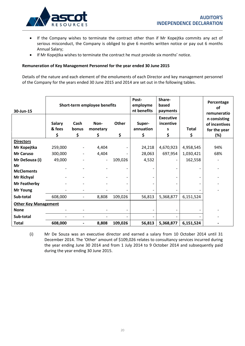

- If the Company wishes to terminate the contract other than if Mr Kopejtka commits any act of serious misconduct, the Company is obliged to give 6 months written notice or pay out 6 months Annual Salary;
- If Mr Kopejtka wishes to terminate the contract he must provide six months' notice.

# **Remuneration of Key Management Personnel for the year ended 30 June 2015**

Details of the nature and each element of the emoluments of each Director and key management personnel of the Company for the years ended 30 June 2015 and 2014 are set out in the following tables.

| 30-Jun-15                   |                               |                          | Short-term employee benefits |             | Post-<br>employme<br>nt benefits | Share-<br>based<br>payments              |                    | Percentage<br><b>of</b><br>remuneratio                  |
|-----------------------------|-------------------------------|--------------------------|------------------------------|-------------|----------------------------------|------------------------------------------|--------------------|---------------------------------------------------------|
|                             | <b>Salary</b><br>& fees<br>\$ | Cash<br>bonus<br>\$      | Non-<br>monetary<br>\$       | Other<br>\$ | Super-<br>annuation<br>\$        | <b>Executive</b><br>incentive<br>s<br>\$ | <b>Total</b><br>\$ | n consisting<br>of incentives<br>for the year<br>$(\%)$ |
| <b>Directors</b>            |                               |                          |                              |             |                                  |                                          |                    |                                                         |
| Mr Kopejtka                 | 259,000                       | $\overline{\phantom{a}}$ | 4,404                        |             | 24,218                           | 4,670,923                                | 4,958,545          | 94%                                                     |
| <b>Mr Caruso</b>            | 300,000                       |                          | 4,404                        |             | 28,063                           | 697,954                                  | 1,030,421          | 68%                                                     |
| Mr DeSouza (i)              | 49,000                        |                          | $\overline{\phantom{a}}$     | 109,026     | 4,532                            |                                          | 162,558            |                                                         |
| Mr<br><b>McClements</b>     |                               |                          |                              |             |                                  |                                          |                    |                                                         |
| <b>Mr Richyal</b>           |                               |                          |                              |             |                                  |                                          |                    |                                                         |
| <b>Mr Featherby</b>         |                               |                          |                              |             |                                  |                                          |                    |                                                         |
| <b>Mr Young</b>             |                               |                          |                              |             |                                  |                                          |                    |                                                         |
| Sub-total                   | 608,000                       | $\overline{\phantom{a}}$ | 8,808                        | 109,026     | 56,813                           | 5,368,877                                | 6,151,524          |                                                         |
| <b>Other Key Management</b> |                               |                          |                              |             |                                  |                                          |                    |                                                         |
| <b>None</b>                 |                               |                          |                              |             |                                  |                                          |                    |                                                         |
| Sub-total                   |                               |                          |                              |             |                                  |                                          |                    |                                                         |
| <b>Total</b>                | 608,000                       |                          | 8,808                        | 109,026     | 56,813                           | 5,368,877                                | 6,151,524          |                                                         |

(i) Mr De Souza was an executive director and earned a salary from 10 October 2014 until 31 December 2014. The 'Other' amount of \$109,026 relates to consultancy services incurred during the year ending June 30 2014 and from 1 July 2014 to 9 October 2014 and subsequently paid during the year ending 30 June 2015.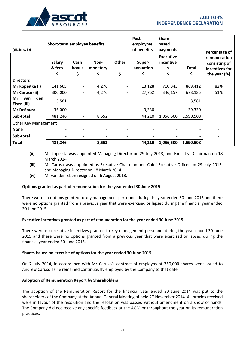

| 30-Jun-14                       | Short-term employee benefits  |                              |                        |                    | Post-<br>employme<br>nt benefits | Share-<br>based<br>payments              |                    | Percentage of                                                      |
|---------------------------------|-------------------------------|------------------------------|------------------------|--------------------|----------------------------------|------------------------------------------|--------------------|--------------------------------------------------------------------|
|                                 | <b>Salary</b><br>& fees<br>\$ | Cash<br>bonus<br>\$          | Non-<br>monetary<br>\$ | <b>Other</b><br>\$ | Super-<br>annuation<br>\$        | <b>Executive</b><br>incentive<br>s<br>\$ | <b>Total</b><br>\$ | remuneration<br>consisting of<br>incentives for<br>the year $(\%)$ |
| <b>Directors</b>                |                               |                              |                        |                    |                                  |                                          |                    |                                                                    |
| Mr Kopejtka (i)                 | 141,665                       | $\overline{\phantom{a}}$     | 4,276                  |                    | 13,128                           | 710,343                                  | 869,412            | 82%                                                                |
| Mr Caruso (ii)                  | 300,000                       | $\overline{a}$               | 4,276                  | -                  | 27,752                           | 346,157                                  | 678,185            | 51%                                                                |
| den<br>Mr<br>van<br>Elsen (iii) | 3,581                         |                              |                        |                    |                                  |                                          | 3,581              |                                                                    |
| Mr DeSouza                      | 36,000                        |                              |                        |                    | 3,330                            |                                          | 39,330             |                                                                    |
| Sub-total                       | 481,246                       | $\overline{a}$               | 8,552                  |                    | 44,210                           | 1,056,500                                | 1,590,508          |                                                                    |
| <b>Other Key Management</b>     |                               |                              |                        |                    |                                  |                                          |                    |                                                                    |
| <b>None</b>                     |                               |                              |                        |                    |                                  |                                          |                    |                                                                    |
| Sub-total                       |                               | $\qquad \qquad \blacksquare$ |                        | -                  |                                  |                                          |                    |                                                                    |
| <b>Total</b>                    | 481,246                       | $\qquad \qquad \blacksquare$ | 8,552                  |                    | 44,210                           | 1,056,500                                | 1,590,508          |                                                                    |

(ii) Mr Kopejkta was appointed Managing Director on 29 July 2013, and Executive Chairman on 18 March 2014.

- (iii) Mr Caruso was appointed as Executive Chairman and Chief Executive Officer on 29 July 2013, and Managing Director on 18 March 2014.
- (iv) Mr van den Elsen resigned on 6 August 2013.

# **Options granted as part of remuneration for the year ended 30 June 2015**

There were no options granted to key management personnel during the year ended 30 June 2015 and there were no options granted from a previous year that were exercised or lapsed during the financial year ended 30 June 2015.

# **Executive incentives granted as part of remuneration for the year ended 30 June 2015**

There were no executive incentives granted to key management personnel during the year ended 30 June 2015 and there were no options granted from a previous year that were exercised or lapsed during the financial year ended 30 June 2015.

# **Shares issued on exercise of options for the year ended 30 June 2015**

On 7 July 2014, in accordance with Mr Caruso's contract of employment 750,000 shares were issued to Andrew Caruso as he remained continuously employed by the Company to that date.

# **Adoption of Remuneration Report by Shareholders**

The adoption of the Remuneration Report for the financial year ended 30 June 2014 was put to the shareholders of the Company at the Annual General Meeting of held 27 November 2014. All proxies received were in favour of the resolution and the resolution was passed without amendment on a show of hands. The Company did not receive any specific feedback at the AGM or throughout the year on its remuneration practices.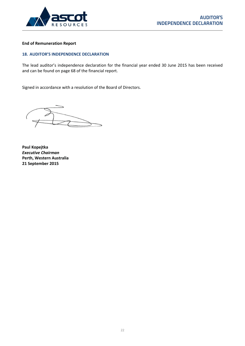

# **End of Remuneration Report**

# **18. AUDITOR'S INDEPENDENCE DECLARATION**

The lead auditor's independence declaration for the financial year ended 30 June 2015 has been received and can be found on page 68 of the financial report.

Signed in accordance with a resolution of the Board of Directors.

**Paul Kopejtka**  *Executive Chairman*  **Perth, Western Australia 21 September 2015**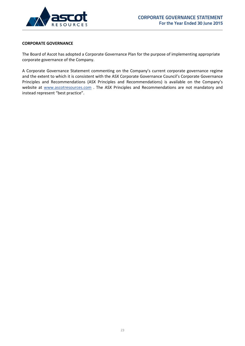

# **CORPORATE GOVERNANCE**

The Board of Ascot has adopted a Corporate Governance Plan for the purpose of implementing appropriate corporate governance of the Company.

A Corporate Governance Statement commenting on the Company's current corporate governance regime and the extent to which it is consistent with the ASX Corporate Governance Council's Corporate Governance Principles and Recommendations (ASX Principles and Recommendations) is available on the Company's website at www.ascotresources.com . The ASX Principles and Recommendations are not mandatory and instead represent "best practice".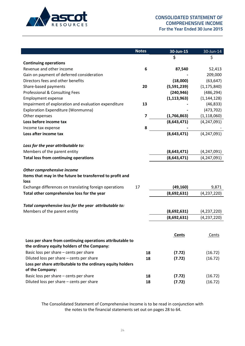

|                                                            | <b>Notes</b> | 30-Jun-15     | 30-Jun-14     |
|------------------------------------------------------------|--------------|---------------|---------------|
|                                                            |              | \$            | \$            |
| <b>Continuing operations</b>                               |              |               |               |
| Revenue and other income                                   | 6            | 87,540        | 52,413        |
| Gain on payment of deferred consideration                  |              |               | 209,000       |
| Directors fees and other benefits                          |              | (18,000)      | (63, 647)     |
| Share-based payments                                       | 20           | (5,591,239)   | (1, 175, 840) |
| Professional & Consulting Fees                             |              | (240, 946)    | (486, 294)    |
| <b>Employment expense</b>                                  |              | (1, 113, 963) | (1, 144, 128) |
| Impairment of exploration and evaluation expenditure       | 13           |               | (46, 833)     |
| Exploration Expenditure (Wonmunna)                         |              |               | (473, 702)    |
| Other expenses                                             | 7            | (1,766,863)   | (1, 118, 060) |
| Loss before income tax                                     |              | (8,643,471)   | (4, 247, 091) |
| Income tax expense                                         | 8            |               |               |
| Loss after income tax                                      |              | (8,643,471)   | (4, 247, 091) |
| Loss for the year attributable to:                         |              |               |               |
| Members of the parent entity                               |              | (8,643,471)   | (4, 247, 091) |
| <b>Total loss from continuing operations</b>               |              | (8,643,471)   | (4, 247, 091) |
|                                                            |              |               |               |
| Other comprehensive income                                 |              |               |               |
| Items that may in the future be transferred to profit and  |              |               |               |
| loss                                                       |              |               |               |
| Exchange differences on translating foreign operations     | 17           | (49, 160)     | 9,871         |
| Total other comprehensive loss for the year                |              | (8,692,631)   | (4, 237, 220) |
|                                                            |              |               |               |
| Total comprehensive loss for the year attributable to:     |              |               |               |
| Members of the parent entity                               |              | (8,692,631)   | (4, 237, 220) |
|                                                            |              | (8,692,631)   | (4, 237, 220) |
|                                                            |              |               |               |
|                                                            |              |               |               |
|                                                            |              | <b>Cents</b>  | <b>Cents</b>  |
| Loss per share from continuing operations attributable to  |              |               |               |
| the ordinary equity holders of the Company:                |              |               |               |
| Basic loss per share - cents per share                     | 18           | (7.72)        | (16.72)       |
| Diluted loss per share - cents per share                   | 18           | (7.72)        | (16.72)       |
| Loss per share attributable to the ordinary equity holders |              |               |               |
| of the Company:                                            |              |               |               |
| Basic loss per share - cents per share                     | 18           | (7.72)        | (16.72)       |
| Diluted loss per share - cents per share                   | 18           | (7.72)        | (16.72)       |

The Consolidated Statement of Comprehensive Income is to be read in conjunction with the notes to the financial statements set out on pages 28 to 64.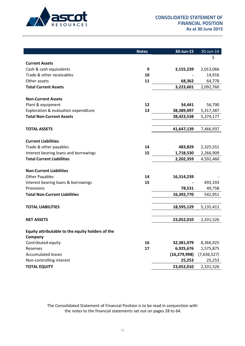

| \$<br><b>Current Assets</b><br>Cash & cash equivalents<br>9<br>3,155,239<br>2,013,066<br>Trade & other receivables<br>14,916<br>10<br>Other assets<br>11<br>68,362<br>64,778<br><b>Total Current Assets</b><br>3,223,601<br>2,092,760<br><b>Non-Current Assets</b><br>12<br>Plant & equipment<br>34,441<br>56,790<br>13<br>Exploration & evaluation expenditure<br>38,389,097<br>5,317,387<br><b>Total Non-Current Assets</b><br>38,423,538<br>5,374,177<br><b>TOTAL ASSETS</b><br>41,647,139<br>7,466,937 |
|------------------------------------------------------------------------------------------------------------------------------------------------------------------------------------------------------------------------------------------------------------------------------------------------------------------------------------------------------------------------------------------------------------------------------------------------------------------------------------------------------------|
|                                                                                                                                                                                                                                                                                                                                                                                                                                                                                                            |
|                                                                                                                                                                                                                                                                                                                                                                                                                                                                                                            |
|                                                                                                                                                                                                                                                                                                                                                                                                                                                                                                            |
|                                                                                                                                                                                                                                                                                                                                                                                                                                                                                                            |
|                                                                                                                                                                                                                                                                                                                                                                                                                                                                                                            |
|                                                                                                                                                                                                                                                                                                                                                                                                                                                                                                            |
|                                                                                                                                                                                                                                                                                                                                                                                                                                                                                                            |
|                                                                                                                                                                                                                                                                                                                                                                                                                                                                                                            |
|                                                                                                                                                                                                                                                                                                                                                                                                                                                                                                            |
|                                                                                                                                                                                                                                                                                                                                                                                                                                                                                                            |
|                                                                                                                                                                                                                                                                                                                                                                                                                                                                                                            |
|                                                                                                                                                                                                                                                                                                                                                                                                                                                                                                            |
|                                                                                                                                                                                                                                                                                                                                                                                                                                                                                                            |
| <b>Current Liabilities</b>                                                                                                                                                                                                                                                                                                                                                                                                                                                                                 |
| Trade & other payables<br>14<br>483,829<br>2,325,551                                                                                                                                                                                                                                                                                                                                                                                                                                                       |
| Interest bearing loans and borrowings<br>15<br>1,718,530<br>2,266,909                                                                                                                                                                                                                                                                                                                                                                                                                                      |
| <b>Total Current Liabilities</b><br>2,202,359<br>4,592,460                                                                                                                                                                                                                                                                                                                                                                                                                                                 |
|                                                                                                                                                                                                                                                                                                                                                                                                                                                                                                            |
| <b>Non-Current Liabilities</b>                                                                                                                                                                                                                                                                                                                                                                                                                                                                             |
| <b>Other Payables</b><br>14<br>16,314,239                                                                                                                                                                                                                                                                                                                                                                                                                                                                  |
| Interest bearing loans & borrowings<br>15<br>493,193                                                                                                                                                                                                                                                                                                                                                                                                                                                       |
| Provisions<br>49,758<br>78,531                                                                                                                                                                                                                                                                                                                                                                                                                                                                             |
| <b>Total Non-Current Liabilities</b><br>16,392,770<br>542,951                                                                                                                                                                                                                                                                                                                                                                                                                                              |
|                                                                                                                                                                                                                                                                                                                                                                                                                                                                                                            |
| <b>TOTAL LIABILITIES</b><br>18,595,129<br>5,135,411                                                                                                                                                                                                                                                                                                                                                                                                                                                        |
|                                                                                                                                                                                                                                                                                                                                                                                                                                                                                                            |
| 23,052,010<br>2,331,526<br><b>NET ASSETS</b>                                                                                                                                                                                                                                                                                                                                                                                                                                                               |
|                                                                                                                                                                                                                                                                                                                                                                                                                                                                                                            |
| Equity attributable to the equity holders of the<br>Company                                                                                                                                                                                                                                                                                                                                                                                                                                                |
| Contributed equity<br>16<br>8,366,925<br>32,381,079                                                                                                                                                                                                                                                                                                                                                                                                                                                        |
| 17<br>1,575,875<br>Reserves<br>6,925,676                                                                                                                                                                                                                                                                                                                                                                                                                                                                   |
| <b>Accumulated losses</b><br>(16, 279, 998)<br>(7,636,527)                                                                                                                                                                                                                                                                                                                                                                                                                                                 |
| Non-controlling interest<br>25,253<br>25,253                                                                                                                                                                                                                                                                                                                                                                                                                                                               |
| <b>TOTAL EQUITY</b><br>23,052,010<br>2,331,526                                                                                                                                                                                                                                                                                                                                                                                                                                                             |

The Consolidated Statement of Financial Position is to be read in conjunction with the notes to the financial statements set out on pages 28 to 64.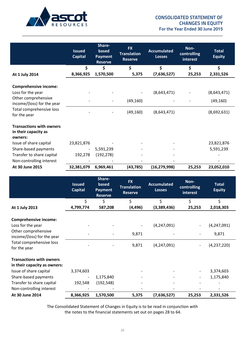

|                                                                                                        | <b>Issued</b><br><b>Capital</b> | Share-<br>based<br><b>Payment</b><br><b>Reserve</b> | <b>FX</b><br><b>Translation</b><br><b>Reserve</b> | <b>Accumulated</b><br><b>Losses</b> | Non-<br>controlling<br>interest | <b>Total</b><br><b>Equity</b> |
|--------------------------------------------------------------------------------------------------------|---------------------------------|-----------------------------------------------------|---------------------------------------------------|-------------------------------------|---------------------------------|-------------------------------|
|                                                                                                        | \$                              | \$                                                  | \$                                                | \$                                  | \$                              | \$                            |
| At 1 July 2014                                                                                         | 8,366,925                       | 1,570,500                                           | 5,375                                             | (7,636,527)                         | 25,253                          | 2,331,526                     |
| <b>Comprehensive income:</b><br>Loss for the year<br>Other comprehensive<br>income/(loss) for the year |                                 |                                                     | (49, 160)                                         | (8,643,471)                         |                                 | (8,643,471)<br>(49, 160)      |
| Total comprehensive loss<br>for the year                                                               |                                 |                                                     | (49, 160)                                         | (8,643,471)                         |                                 | (8,692,631)                   |
| <b>Transactions with owners</b><br>in their capacity as<br>owners:                                     |                                 |                                                     |                                                   |                                     |                                 |                               |
| Issue of share capital                                                                                 | 23,821,876                      |                                                     |                                                   |                                     |                                 | 23,821,876                    |
| Share-based payments                                                                                   | $\overline{\phantom{a}}$        | 5,591,239                                           |                                                   |                                     |                                 | 5,591,239                     |
| Transfer to share capital<br>Non-controlling interest                                                  | 192,278                         | (192, 278)                                          |                                                   |                                     |                                 |                               |
| At 30 June 2015                                                                                        | 32,381,079                      | 6,969,461                                           | (43, 785)                                         | (16, 279, 998)                      | 25,253                          | 23,052,010                    |

|                                                                 | <b>Issued</b><br><b>Capital</b> | Share-<br>based<br>Payment<br><b>Reserve</b> | <b>FX</b><br><b>Translation</b><br><b>Reserve</b> | <b>Accumulated</b><br><b>Losses</b> | Non-<br>controlling<br>interest | <b>Total</b><br><b>Equity</b> |
|-----------------------------------------------------------------|---------------------------------|----------------------------------------------|---------------------------------------------------|-------------------------------------|---------------------------------|-------------------------------|
|                                                                 | \$                              | \$                                           | \$                                                | \$                                  | \$                              | \$                            |
| At 1 July 2013                                                  | 4,799,774                       | 587,208                                      | (4,496)                                           | (3,389,436)                         | 25,253                          | 2,018,303                     |
| <b>Comprehensive income:</b><br>Loss for the year               |                                 |                                              |                                                   | (4, 247, 091)                       |                                 | (4, 247, 091)                 |
| Other comprehensive<br>income/(loss) for the year               |                                 |                                              | 9,871                                             |                                     |                                 | 9,871                         |
| Total comprehensive loss<br>for the year                        |                                 |                                              | 9,871                                             | (4, 247, 091)                       |                                 | (4,237,220)                   |
| <b>Transactions with owners</b><br>in their capacity as owners: |                                 |                                              |                                                   |                                     |                                 |                               |
| Issue of share capital                                          | 3,374,603                       |                                              |                                                   |                                     |                                 | 3,374,603                     |
| Share-based payments                                            |                                 | 1,175,840                                    |                                                   |                                     |                                 | 1,175,840                     |
| Transfer to share capital<br>Non-controlling interest           | 192,548                         | (192, 548)                                   |                                                   |                                     |                                 |                               |
| At 30 June 2014                                                 | 8,366,925                       | 1,570,500                                    | 5,375                                             | (7,636,527)                         | 25,253                          | 2,331,526                     |

The Consolidated Statement of Changes in Equity is to be read in conjunction with the notes to the financial statements set out on pages 28 to 64.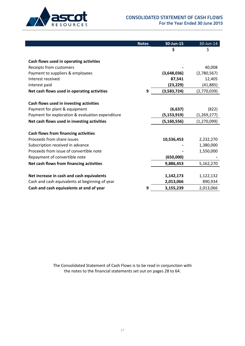

|                                                  | <b>Notes</b> | 30-Jun-15     | 30-Jun-14     |
|--------------------------------------------------|--------------|---------------|---------------|
|                                                  |              | \$            | \$            |
|                                                  |              |               |               |
| Cash flows used in operating activities          |              |               |               |
| Receipts from customers                          |              |               | 40,008        |
| Payment to suppliers & employees                 |              | (3,648,036)   | (2,780,567)   |
| Interest received                                |              | 87,541        | 12,405        |
| Interest paid                                    |              | (23, 229)     | (41, 885)     |
| Net cash flows used in operating activities      | 9            | (3,583,724)   | (2,770,039)   |
|                                                  |              |               |               |
| Cash flows used in investing activities          |              |               |               |
| Payment for plant & equipment                    |              | (6, 637)      | (822)         |
| Payment for exploration & evaluation expenditure |              | (5, 153, 919) | (1, 269, 277) |
| Net cash flows used in investing activities      |              | (5, 160, 556) | (1,270,099)   |
|                                                  |              |               |               |
| <b>Cash flows from financing activities</b>      |              |               |               |
| Proceeds from share issues                       |              | 10,536,453    | 2,232,270     |
| Subscription received in advance                 |              |               | 1,380,000     |
| Proceeds from issue of convertible note          |              |               | 1,550,000     |
| Repayment of convertible note                    |              | (650,000)     |               |
| Net cash flows from financing activities         |              | 9,886,453     | 5,162,270     |
|                                                  |              |               |               |
| Net increase in cash and cash equivalents        |              | 1,142,173     | 1,122,132     |
| Cash and cash equivalents at beginning of year   |              | 2,013,066     | 890,934       |
| Cash and cash equivalents at end of year         | 9            | 3,155,239     | 2,013,066     |

The Consolidated Statement of Cash Flows is to be read in conjunction with the notes to the financial statements set out on pages 28 to 64.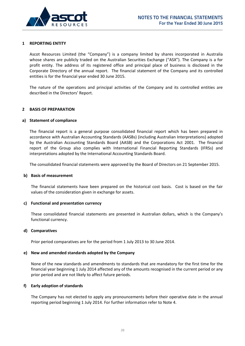

# **1 REPORTING ENTITY**

Ascot Resources Limited (the "Company") is a company limited by shares incorporated in Australia whose shares are publicly traded on the Australian Securities Exchange ("ASX"). The Company is a for profit entity. The address of its registered office and principal place of business is disclosed in the Corporate Directory of the annual report. The financial statement of the Company and its controlled entities is for the financial year ended 30 June 2015.

The nature of the operations and principal activities of the Company and its controlled entities are described in the Directors' Report.

### **2 BASIS OF PREPARATION**

### **a) Statement of compliance**

The financial report is a general purpose consolidated financial report which has been prepared in accordance with Australian Accounting Standards (AASBs) (including Australian Interpretations) adopted by the Australian Accounting Standards Board (AASB) and the Corporations Act 2001. The financial report of the Group also complies with International Financial Reporting Standards (IFRSs) and interpretations adopted by the International Accounting Standards Board.

The consolidated financial statements were approved by the Board of Directors on 21 September 2015.

#### **b) Basis of measurement**

The financial statements have been prepared on the historical cost basis. Cost is based on the fair values of the consideration given in exchange for assets.

#### **c) Functional and presentation currency**

These consolidated financial statements are presented in Australian dollars, which is the Company's functional currency.

#### **d) Comparatives**

Prior period comparatives are for the period from 1 July 2013 to 30 June 2014.

#### **e) New and amended standards adopted by the Company**

None of the new standards and amendments to standards that are mandatory for the first time for the financial year beginning 1 July 2014 affected any of the amounts recognised in the current period or any prior period and are not likely to affect future periods.

#### **f) Early adoption of standards**

The Company has not elected to apply any pronouncements before their operative date in the annual reporting period beginning 1 July 2014. For further information refer to Note 4.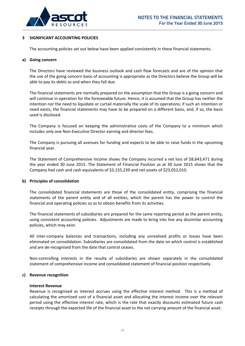

# **3 SIGNIFICANT ACCOUNTING POLICIES**

The accounting policies set out below have been applied consistently in these financial statements.

# **a) Going concern**

The Directors have reviewed the business outlook and cash flow forecasts and are of the opinion that the use of the going concern basis of accounting is appropriate as the Directors believe the Group will be able to pay its debts as and when they fall due.

The financial statements are normally prepared on the assumption that the Group is a going concern and will continue in operation for the foreseeable future. Hence, it is assumed that the Group has neither the intention nor the need to liquidate or curtail materially the scale of its operations; if such an intention or need exists, the financial statements may have to be prepared on a different basis, and, if so, the basis used is disclosed.

The Company is focused on keeping the administrative costs of the Company to a minimum which includes only one Non-Executive Director earning and director fees.

The Company is pursuing all avenues for funding and expects to be able to raise funds in the upcoming financial year.

The Statement of Comprehensive Income shows the Company incurred a net loss of \$8,643,471 during the year ended 30 June 2015. The Statement of Financial Position as at 30 June 2015 shows that the Company had cash and cash equivalents of \$3,155,239 and net assets of \$23,052,010.

# **b) Principles of consolidation**

The consolidated financial statements are those of the consolidated entity, comprising the financial statements of the parent entity and of all entities, which the parent has the power to control the financial and operating policies so as to obtain benefits from its activities.

The financial statements of subsidiaries are prepared for the same reporting period as the parent entity, using consistent accounting policies. Adjustments are made to bring into line any dissimilar accounting policies, which may exist.

All inter-company balances and transactions, including any unrealised profits or losses have been eliminated on consolidation. Subsidiaries are consolidated from the date on which control is established and are de-recognised from the date that control ceases.

Non-controlling interests in the results of subsidiaries are shown separately in the consolidated statement of comprehensive income and consolidated statement of financial position respectively.

# **c) Revenue recognition**

#### **Interest Revenue**

Revenue is recognised as interest accrues using the effective interest method. This is a method of calculating the amortised cost of a financial asset and allocating the interest income over the relevant period using the effective interest rate, which is the rate that exactly discounts estimated future cash receipts through the expected life of the financial asset to the net carrying amount of the financial asset.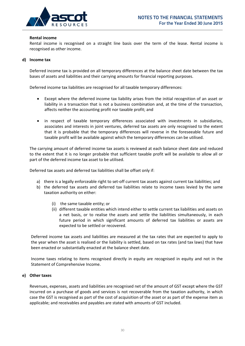

# **Rental income**

Rental income is recognised on a straight line basis over the term of the lease. Rental income is recognised as other income.

#### **d) Income tax**

Deferred income tax is provided on all temporary differences at the balance sheet date between the tax bases of assets and liabilities and their carrying amounts for financial reporting purposes.

Deferred income tax liabilities are recognised for all taxable temporary differences:

- Except where the deferred income tax liability arises from the initial recognition of an asset or liability in a transaction that is not a business combination and, at the time of the transaction, affects neither the accounting profit nor taxable profit; and
- in respect of taxable temporary differences associated with investments in subsidiaries, associates and interests in joint ventures, deferred tax assets are only recognised to the extent that it is probable that the temporary differences will reverse in the foreseeable future and taxable profit will be available against which the temporary differences can be utilised.

The carrying amount of deferred income tax assets is reviewed at each balance sheet date and reduced to the extent that it is no longer probable that sufficient taxable profit will be available to allow all or part of the deferred income tax asset to be utilised.

Deferred tax assets and deferred tax liabilities shall be offset only if:

- a) there is a legally enforceable right to set-off current tax assets against current tax liabilities; and
- b) the deferred tax assets and deferred tax liabilities relate to income taxes levied by the same taxation authority on either:
	- (i) the same taxable entity; or
	- (ii) different taxable entities which intend either to settle current tax liabilities and assets on a net basis, or to realise the assets and settle the liabilities simultaneously, in each future period in which significant amounts of deferred tax liabilities or assets are expected to be settled or recovered.

Deferred income tax assets and liabilities are measured at the tax rates that are expected to apply to the year when the asset is realised or the liability is settled, based on tax rates (and tax laws) that have been enacted or substantially enacted at the balance sheet date.

Income taxes relating to items recognised directly in equity are recognised in equity and not in the Statement of Comprehensive Income.

#### **e) Other taxes**

Revenues, expenses, assets and liabilities are recognised net of the amount of GST except where the GST incurred on a purchase of goods and services is not recoverable from the taxation authority, in which case the GST is recognised as part of the cost of acquisition of the asset or as part of the expense item as applicable; and receivables and payables are stated with amounts of GST included.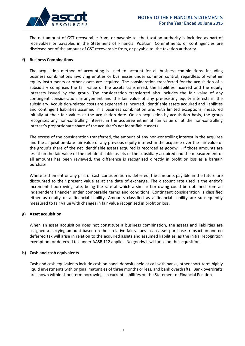

The net amount of GST recoverable from, or payable to, the taxation authority is included as part of receivables or payables in the Statement of Financial Position. Commitments or contingencies are disclosed net of the amount of GST recoverable from, or payable to, the taxation authority.

# **f) Business Combinations**

The acquisition method of accounting is used to account for all business combinations, including business combinations involving entities or businesses under common control, regardless of whether equity instruments or other assets are acquired. The consideration transferred for the acquisition of a subsidiary comprises the fair value of the assets transferred, the liabilities incurred and the equity interests issued by the group. The consideration transferred also includes the fair value of any contingent consideration arrangement and the fair value of any pre-existing equity interests in the subsidiary. Acquisition-related costs are expensed as incurred. Identifiable assets acquired and liabilities and contingent liabilities assumed in a business combination are, with limited exceptions, measured initially at their fair values at the acquisition date. On an acquisition-by-acquisition basis, the group recognises any non-controlling interest in the acquiree either at fair value or at the non-controlling interest's proportionate share of the acquiree's net identifiable assets.

The excess of the consideration transferred, the amount of any non-controlling interest in the acquiree and the acquisition-date fair value of any previous equity interest in the acquiree over the fair value of the group's share of the net identifiable assets acquired is recorded as goodwill. If those amounts are less than the fair value of the net identifiable assets of the subsidiary acquired and the measurement of all amounts has been reviewed, the difference is recognised directly in profit or loss as a bargain purchase.

Where settlement or any part of cash consideration is deferred, the amounts payable in the future are discounted to their present value as at the date of exchange. The discount rate used is the entity's incremental borrowing rate, being the rate at which a similar borrowing could be obtained from an independent financier under comparable terms and conditions. Contingent consideration is classified either as equity or a financial liability. Amounts classified as a financial liability are subsequently measured to fair value with changes in fair value recognised in profit or loss.

# **g) Asset acquisition**

When an asset acquisition does not constitute a business combination, the assets and liabilities are assigned a carrying amount based on their relative fair values in an asset purchase transaction and no deferred tax will arise in relation to the acquired assets and assumed liabilities, as the initial recognition exemption for deferred tax under AASB 112 applies. No goodwill will arise on the acquisition.

# **h) Cash and cash equivalents**

Cash and cash equivalents include cash on hand, deposits held at call with banks, other short-term highly liquid investments with original maturities of three months or less, and bank overdrafts. Bank overdrafts are shown within short-term borrowings in current liabilities on the Statement of Financial Position.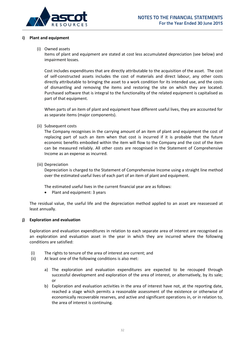

# **i) Plant and equipment**

# (i) Owned assets

Items of plant and equipment are stated at cost less accumulated depreciation (see below) and impairment losses.

Cost includes expenditures that are directly attributable to the acquisition of the asset. The cost of self-constructed assets includes the cost of materials and direct labour, any other costs directly attributable to bringing the asset to a work condition for its intended use, and the costs of dismantling and removing the items and restoring the site on which they are located. Purchased software that is integral to the functionality of the related equipment is capitalised as part of that equipment.

When parts of an item of plant and equipment have different useful lives, they are accounted for as separate items (major components).

(ii) Subsequent costs

The Company recognises in the carrying amount of an item of plant and equipment the cost of replacing part of such an item when that cost is incurred if it is probable that the future economic benefits embodied within the item will flow to the Company and the cost of the item can be measured reliably. All other costs are recognised in the Statement of Comprehensive Income as an expense as incurred.

(iii) Depreciation

Depreciation is charged to the Statement of Comprehensive Income using a straight line method over the estimated useful lives of each part of an item of plant and equipment.

The estimated useful lives in the current financial year are as follows:

Plant and equipment: 3 years

The residual value, the useful life and the depreciation method applied to an asset are reassessed at least annually.

# **j) Exploration and evaluation**

Exploration and evaluation expenditures in relation to each separate area of interest are recognised as an exploration and evaluation asset in the year in which they are incurred where the following conditions are satisfied:

- (i) The rights to tenure of the area of interest are current; and
- (ii) At least one of the following conditions is also met:
	- a) The exploration and evaluation expenditures are expected to be recouped through successful development and exploration of the area of interest, or alternatively, by its sale; or
	- b) Exploration and evaluation activities in the area of interest have not, at the reporting date, reached a stage which permits a reasonable assessment of the existence or otherwise of economically recoverable reserves, and active and significant operations in, or in relation to, the area of interest is continuing.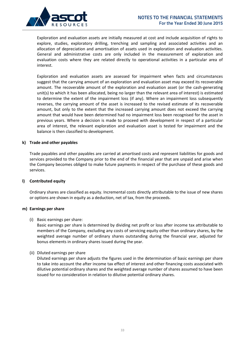

Exploration and evaluation assets are initially measured at cost and include acquisition of rights to explore, studies, exploratory drilling, trenching and sampling and associated activities and an allocation of depreciation and amortisation of assets used in exploration and evaluation activities. General and administrative costs are only included in the measurement of exploration and evaluation costs where they are related directly to operational activities in a particular area of interest.

Exploration and evaluation assets are assessed for impairment when facts and circumstances suggest that the carrying amount of an exploration and evaluation asset may exceed its recoverable amount. The recoverable amount of the exploration and evaluation asset (or the cash-generating unit(s) to which it has been allocated, being no larger than the relevant area of interest) is estimated to determine the extent of the impairment loss (if any). Where an impairment loss subsequently reverses, the carrying amount of the asset is increased to the revised estimate of its recoverable amount, but only to the extent that the increased carrying amount does not exceed the carrying amount that would have been determined had no impairment loss been recognised for the asset in previous years. Where a decision is made to proceed with development in respect of a particular area of interest, the relevant exploration and evaluation asset is tested for impairment and the balance is then classified to development.

# **k) Trade and other payables**

Trade payables and other payables are carried at amortised costs and represent liabilities for goods and services provided to the Company prior to the end of the financial year that are unpaid and arise when the Company becomes obliged to make future payments in respect of the purchase of these goods and services.

# **l) Contributed equity**

Ordinary shares are classified as equity. Incremental costs directly attributable to the issue of new shares or options are shown in equity as a deduction, net of tax, from the proceeds.

# **m) Earnings per share**

(i) Basic earnings per share:

Basic earnings per share is determined by dividing net profit or loss after income tax attributable to members of the Company, excluding any costs of servicing equity other than ordinary shares, by the weighted average number of ordinary shares outstanding during the financial year, adjusted for bonus elements in ordinary shares issued during the year.

(ii) Diluted earnings per share

Diluted earnings per share adjusts the figures used in the determination of basic earnings per share to take into account the after income tax effect of interest and other financing costs associated with dilutive potential ordinary shares and the weighted average number of shares assumed to have been issued for no consideration in relation to dilutive potential ordinary shares.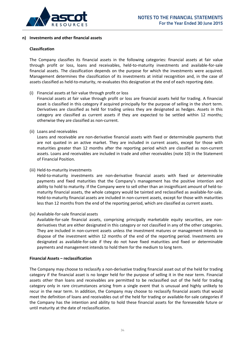

# **n) Investments and other financial assets**

# **Classification**

The Company classifies its financial assets in the following categories: financial assets at fair value through profit or loss, loans and receivables, held-to-maturity investments and available-for-sale financial assets. The classification depends on the purpose for which the investments were acquired. Management determines the classification of its investments at initial recognition and, in the case of assets classified as held-to-maturity, re-evaluates this designation at the end of each reporting date.

(i) Financial assets at fair value through profit or loss

Financial assets at fair value through profit or loss are financial assets held for trading. A financial asset is classified in this category if acquired principally for the purpose of selling in the short term. Derivatives are classified as held for trading unless they are designated as hedges. Assets in this category are classified as current assets if they are expected to be settled within 12 months; otherwise they are classified as non-current.

(ii) Loans and receivables

Loans and receivable are non-derivative financial assets with fixed or determinable payments that are not quoted in an active market. They are included in current assets, except for those with maturities greater than 12 months after the reporting period which are classified as non-current assets. Loans and receivables are included in trade and other receivables (note 10) in the Statement of Financial Position.

(iii) Held-to-maturity investments

Held-to-maturity investments are non-derivative financial assets with fixed or determinable payments and fixed maturities that the Company's management has the positive intention and ability to hold to maturity. If the Company were to sell other than an insignificant amount of held-tomaturity financial assets, the whole category would be tainted and reclassified as available-for-sale. Held-to-maturity financial assets are included in non-current assets, except for those with maturities less than 12 months from the end of the reporting period, which are classified as current assets.

(iv) Available-for-sale financial assets

Available-for-sale financial assets, comprising principally marketable equity securities, are nonderivatives that are either designated in this category or not classified in any of the other categories. They are included in non-current assets unless the investment matures or management intends to dispose of the investment within 12 months of the end of the reporting period. Investments are designated as available-for-sale if they do not have fixed maturities and fixed or determinable payments and management intends to hold them for the medium to long term.

# **Financial Assets – reclassification**

The Company may choose to reclassify a non-derivative trading financial asset out of the held for trading category if the financial asset is no longer held for the purpose of selling it in the near term. Financial assets other than loans and receivables are permitted to be reclassified out of the held for trading category only in rare circumstances arising from a single event that is unusual and highly unlikely to recur in the near term. In addition, the Company may choose to reclassify financial assets that would meet the definition of loans and receivables out of the held for trading or available-for-sale categories if the Company has the intention and ability to hold these financial assets for the foreseeable future or until maturity at the date of reclassification.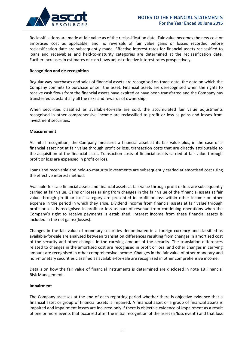

Reclassifications are made at fair value as of the reclassification date. Fair value becomes the new cost or amortised cost as applicable, and no reversals of fair value gains or losses recorded before reclassification date are subsequently made. Effective interest rates for financial assets reclassified to loans and receivables and held-to-maturity categories are determined at the reclassification date. Further increases in estimates of cash flows adjust effective interest rates prospectively.

#### **Recognition and de-recognition**

Regular way purchases and sales of financial assets are recognised on trade-date, the date on which the Company commits to purchase or sell the asset. Financial assets are derecognised when the rights to receive cash flows from the financial assets have expired or have been transferred and the Company has transferred substantially all the risks and rewards of ownership.

When securities classified as available-for-sale are sold, the accumulated fair value adjustments recognised in other comprehensive income are reclassified to profit or loss as gains and losses from investment securities.

#### **Measurement**

At initial recognition, the Company measures a financial asset at its fair value plus, in the case of a financial asset not at fair value through profit or loss, transaction costs that are directly attributable to the acquisition of the financial asset. Transaction costs of financial assets carried at fair value through profit or loss are expensed in profit or loss.

Loans and receivable and held-to-maturity investments are subsequently carried at amortised cost using the effective interest method.

Available-for-sale financial assets and financial assets at fair value through profit or loss are subsequently carried at fair value. Gains or losses arising from changes in the fair value of the 'financial assets at fair value through profit or loss' category are presented in profit or loss within other income or other expense in the period in which they arise. Dividend income from financial assets at fair value through profit or loss is recognised in profit or loss as part of revenue from continuing operations when the Company's right to receive payments is established. Interest income from these financial assets is included in the net gains/(losses).

Changes in the fair value of monetary securities denominated in a foreign currency and classified as available-for-sale are analysed between translation differences resulting from changes in amortised cost of the security and other changes in the carrying amount of the security. The translation differences related to changes in the amortised cost are recognised in profit or loss, and other changes in carrying amount are recognised in other comprehensive income. Changes in the fair value of other monetary and non-monetary securities classified as available-for-sale are recognised in other comprehensive income.

Details on how the fair value of financial instruments is determined are disclosed in note 18 Financial Risk Management.

#### **Impairment**

The Company assesses at the end of each reporting period whether there is objective evidence that a financial asset or group of financial assets is impaired. A financial asset or a group of financial assets is impaired and impairment losses are incurred only if there is objective evidence of impairment as a result of one or more events that occurred after the initial recognition of the asset (a 'loss event') and that loss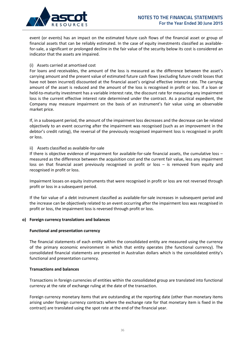

event (or events) has an impact on the estimated future cash flows of the financial asset or group of financial assets that can be reliably estimated. In the case of equity investments classified as availablefor-sale, a significant or prolonged decline in the fair value of the security below its cost is considered an indicator that the assets are impaired.

## (i) Assets carried at amortised cost

For loans and receivables, the amount of the loss is measured as the difference between the asset's carrying amount and the present value of estimated future cash flows (excluding future credit losses that have not been incurred) discounted at the financial asset's original effective interest rate. The carrying amount of the asset is reduced and the amount of the loss is recognised in profit or loss. If a loan or held-to-maturity investment has a variable interest rate, the discount rate for measuring any impairment loss is the current effective interest rate determined under the contract. As a practical expedient, the Company may measure impairment on the basis of an instrument's fair value using an observable market price.

If, in a subsequent period, the amount of the impairment loss decreases and the decrease can be related objectively to an event occurring after the impairment was recognised (such as an improvement in the debtor's credit rating), the reversal of the previously recognised impairment loss is recognised in profit or loss.

## ii) Assets classified as available-for-sale

If there is objective evidence of impairment for available-for-sale financial assets, the cumulative loss – measured as the difference between the acquisition cost and the current fair value, less any impairment loss on that financial asset previously recognised in profit or loss – is removed from equity and recognised in profit or loss.

Impairment losses on equity instruments that were recognised in profit or loss are not reversed through profit or loss in a subsequent period.

If the fair value of a debt instrument classified as available-for-sale increases in subsequent period and the increase can be objectively related to an event occurring after the impairment loss was recognised in profit or loss, the impairment loss is reversed through profit or loss.

## **o) Foreign currency translations and balances**

## **Functional and presentation currency**

The financial statements of each entity within the consolidated entity are measured using the currency of the primary economic environment in which that entity operates (the functional currency). The consolidated financial statements are presented in Australian dollars which is the consolidated entity's functional and presentation currency.

## **Transactions and balances**

Transactions in foreign currencies of entities within the consolidated group are translated into functional currency at the rate of exchange ruling at the date of the transaction.

Foreign currency monetary items that are outstanding at the reporting date (other than monetary items arising under foreign currency contracts where the exchange rate for that monetary item is fixed in the contract) are translated using the spot rate at the end of the financial year.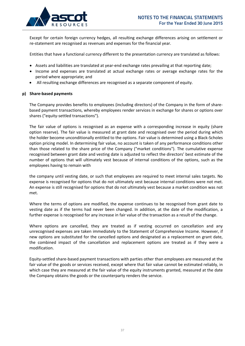

Except for certain foreign currency hedges, all resulting exchange differences arising on settlement or re-statement are recognised as revenues and expenses for the financial year.

Entities that have a functional currency different to the presentation currency are translated as follows:

- Assets and liabilities are translated at year-end exchange rates prevailing at that reporting date;
- Income and expenses are translated at actual exchange rates or average exchange rates for the period where appropriate; and
- All resulting exchange differences are recognised as a separate component of equity.

#### **p) Share-based payments**

The Company provides benefits to employees (including directors) of the Company in the form of sharebased payment transactions, whereby employees render services in exchange for shares or options over shares ("equity-settled transactions").

The fair value of options is recognised as an expense with a corresponding increase in equity (share option reserve). The fair value is measured at grant date and recognised over the period during which the holder become unconditionally entitled to the options. Fair value is determined using a Black-Scholes option pricing model. In determining fair value, no account is taken of any performance conditions other than those related to the share price of the Company ("market conditions"). The cumulative expense recognised between grant date and vesting date is adjusted to reflect the directors' best estimate of the number of options that will ultimately vest because of internal conditions of the options, such as the employees having to remain with

the company until vesting date, or such that employees are required to meet internal sales targets. No expense is recognised for options that do not ultimately vest because internal conditions were not met. An expense is still recognised for options that do not ultimately vest because a market condition was not met.

Where the terms of options are modified, the expense continues to be recognised from grant date to vesting date as if the terms had never been changed. In addition, at the date of the modification, a further expense is recognised for any increase in fair value of the transaction as a result of the change.

Where options are cancelled, they are treated as if vesting occurred on cancellation and any unrecognised expenses are taken immediately to the Statement of Comprehensive Income. However, if new options are substituted for the cancelled options and designated as a replacement on grant date, the combined impact of the cancellation and replacement options are treated as if they were a modification.

Equity-settled share-based payment transactions with parties other than employees are measured at the fair value of the goods or services received, except where that fair value cannot be estimated reliably, in which case they are measured at the fair value of the equity instruments granted, measured at the date the Company obtains the goods or the counterparty renders the service.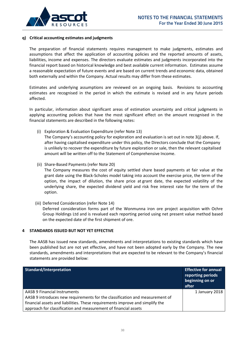

#### **q) Critical accounting estimates and judgments**

The preparation of financial statements requires management to make judgments, estimates and assumptions that affect the application of accounting policies and the reported amounts of assets, liabilities, income and expenses. The directors evaluate estimates and judgments incorporated into the financial report based on historical knowledge and best available current information. Estimates assume a reasonable expectation of future events and are based on current trends and economic data, obtained both externally and within the Company. Actual results may differ from these estimates.

Estimates and underlying assumptions are reviewed on an ongoing basis. Revisions to accounting estimates are recognised in the period in which the estimate is revised and in any future periods affected.

In particular, information about significant areas of estimation uncertainty and critical judgments in applying accounting policies that have the most significant effect on the amount recognised in the financial statements are described in the following notes:

(i) Exploration & Evaluation Expenditure (refer Note 13)

The Company's accounting policy for exploration and evaluation is set out in note 3(j) above. If, after having capitalised expenditure under this policy, the Directors conclude that the Company is unlikely to recover the expenditure by future exploration or sale, then the relevant capitalised amount will be written off to the Statement of Comprehensive Income.

- (ii) Share-Based Payments (refer Note 20) The Company measures the cost of equity settled share based payments at fair value at the grant date using the Black-Scholes model taking into account the exercise price, the term of the option, the impact of dilution, the share price at grant date, the expected volatility of the underlying share, the expected dividend yield and risk free interest rate for the term of the option.
- (iii) Deferred Consideration (refer Note 14)

Deferred consideration forms part of the Wonmunna iron ore project acquisition with Ochre Group Holdings Ltd and is revalued each reporting period using net present value method based on the expected date of the first shipment of ore.

## **4 STANDARDS ISSUED BUT NOT YET EFFECTIVE**

The AASB has issued new standards, amendments and interpretations to existing standards which have been published but are not yet effective, and have not been adopted early by the Company. The new standards, amendments and interpretations that are expected to be relevant to the Company's financial statements are provided below:

| Standard/Interpretation                                                       | <b>Effective for annual</b><br>reporting periods<br>beginning on or<br>after |
|-------------------------------------------------------------------------------|------------------------------------------------------------------------------|
| AASB 9 Financial Instruments                                                  | 1 January 2018                                                               |
| AASB 9 introduces new requirements for the classification and measurement of  |                                                                              |
| financial assets and liabilities. These requirements improve and simplify the |                                                                              |
| approach for classification and measurement of financial assets               |                                                                              |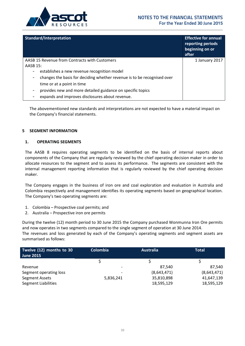

| Standard/Interpretation                                                      | <b>Effective for annual</b><br>reporting periods<br>beginning on or<br>after |
|------------------------------------------------------------------------------|------------------------------------------------------------------------------|
| AASB 15 Revenue from Contracts with Customers                                | 1 January 2017                                                               |
| AASB 15:                                                                     |                                                                              |
| establishes a new revenue recognition model<br>-                             |                                                                              |
| changes the basis for deciding whether revenue is to be recognised over<br>- |                                                                              |
| time or at a point in time                                                   |                                                                              |
| provides new and more detailed guidance on specific topics<br>-              |                                                                              |
| expands and improves disclosures about revenue.                              |                                                                              |

The abovementioned new standards and interpretations are not expected to have a material impact on the Company's financial statements.

#### **5 SEGMENT INFORMATION**

#### **1. OPERATING SEGMENTS**

The AASB 8 requires operating segments to be identified on the basis of internal reports about components of the Company that are regularly reviewed by the chief operating decision maker in order to allocate resources to the segment and to assess its performance. The segments are consistent with the internal management reporting information that is regularly reviewed by the chief operating decision maker.

The Company engages in the business of iron ore and coal exploration and evaluation in Australia and Colombia respectively and management identifies its operating segments based on geographical location. The Company's two operating segments are:

- 1. Colombia Prospective coal permits; and
- 2. Australia Prospective iron ore permits

During the twelve (12) month period to 30 June 2015 the Company purchased Wonmunna Iron Ore permits and now operates in two segments compared to the single segment of operation at 30 June 2014. The revenues and loss generated by each of the Company's operating segments and segment assets are summarised as follows:

| Twelve (12) months to 30<br><b>June 2015</b> | <b>Colombia</b>          | <b>Australia</b> | Total       |
|----------------------------------------------|--------------------------|------------------|-------------|
|                                              |                          |                  |             |
| Revenue                                      | $\overline{\phantom{0}}$ | 87.540           | 87.540      |
| Segment operating loss                       |                          | (8,643,471)      | (8,643,471) |
| Segment Assets                               | 5,836,241                | 35,810,898       | 41,647,139  |
| <b>Segment Liabilities</b>                   |                          | 18,595,129       | 18,595,129  |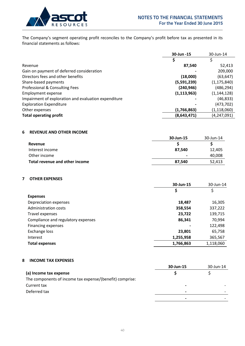

The Company's segment operating profit reconciles to the Company's profit before tax as presented in its financial statements as follows:

|                                                      | 30-Jun -15    | 30-Jun-14     |
|------------------------------------------------------|---------------|---------------|
|                                                      |               |               |
| Revenue                                              | 87,540        | 52,413        |
| Gain on payment of deferred consideration            |               | 209,000       |
| Directors fees and other benefits                    | (18,000)      | (63, 647)     |
| Share-based payments                                 | (5,591,239)   | (1, 175, 840) |
| Professional & Consulting Fees                       | (240, 946)    | (486, 294)    |
| <b>Employment expense</b>                            | (1, 113, 963) | (1, 144, 128) |
| Impairment of exploration and evaluation expenditure |               | (46, 833)     |
| <b>Exploration Expenditure</b>                       |               | (473, 702)    |
| Other expenses                                       | (1,766,863)   | (1,118,060)   |
| <b>Total operating profit</b>                        | (8,643,471)   | (4,247,091)   |

## **6 REVENUE AND OTHER INCOME**

|                                | 30-Jun-15                | 30-Jun-14 |
|--------------------------------|--------------------------|-----------|
| Revenue                        |                          |           |
| Interest income                | 87.540                   | 12,405    |
| Other income                   | $\overline{\phantom{0}}$ | 40,008    |
| Total revenue and other income | 87,540                   | 52,413    |

## **7 OTHER EXPENSES**

|                                    | 30-Jun-15 | 30-Jun-14 |
|------------------------------------|-----------|-----------|
|                                    | \$        |           |
| <b>Expenses</b>                    |           |           |
| Depreciation expenses              | 18,487    | 16,305    |
| Administration costs               | 358,554   | 337,222   |
| Travel expenses                    | 23,722    | 139,715   |
| Compliance and regulatory expenses | 86,341    | 70,994    |
| <b>Financing expenses</b>          |           | 122,498   |
| Exchange loss                      | 23,801    | 65,758    |
| Interest                           | 1,255,958 | 365,567   |
| <b>Total expenses</b>              | 1,766,863 | 1,118,060 |

# **8 INCOME TAX EXPENSES**

|                                                          | 30-Jun-15                | 30-Jun-14 |
|----------------------------------------------------------|--------------------------|-----------|
| (a) Income tax expense                                   |                          |           |
| The components of income tax expense/(benefit) comprise: |                          |           |
| Current tax                                              | $\overline{\phantom{0}}$ |           |
| Deferred tax                                             | $\overline{\phantom{0}}$ |           |
|                                                          | $\overline{\phantom{0}}$ |           |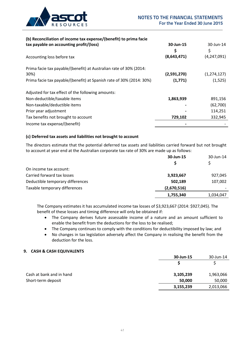

| (b) Reconciliation of income tax expense/(benefit) to prima facie    |             |               |
|----------------------------------------------------------------------|-------------|---------------|
| tax payable on accounting profit/(loss)                              | 30-Jun-15   | 30-Jun-14     |
|                                                                      | \$          | \$            |
| Accounting loss before tax                                           | (8,643,471) | (4, 247, 091) |
| Prima facie tax payable/(benefit) at Australian rate of 30% (2014:   |             |               |
| 30%)                                                                 | (2,591,270) | (1, 274, 127) |
| Prima facie tax payable/(benefit) at Spanish rate of 30% (2014: 30%) | (1,771)     | (1, 525)      |
| Adjusted for tax effect of the following amounts:                    |             |               |
| Non-deductible/taxable items                                         | 1,863,939   | 891,156       |
| Non-taxable/deductible items                                         |             | (62,700)      |
| Prior year adjustment                                                |             | 114,251       |
| Tax benefits not brought to account                                  | 729,102     | 332,945       |
| Income tax expense/(benefit)                                         |             |               |

## **(c) Deferred tax assets and liabilities not brought to account**

The directors estimate that the potential deferred tax assets and liabilities carried forward but not brought to account at year end at the Australian corporate tax rate of 30% are made up as follows:

|                                  | 30-Jun-15   | 30-Jun-14 |
|----------------------------------|-------------|-----------|
| On income tax account:           |             |           |
| Carried forward tax losses       | 3,923,667   | 927,045   |
| Deductible temporary differences | 502,189     | 107,002   |
| Taxable temporary differences    | (2,670,516) |           |
|                                  | 1,755,340   | 1,034,047 |

The Company estimates it has accumulated income tax losses of \$3,923,667 (2014: \$927,045). The benefit of these losses and timing difference will only be obtained if:

- The Company derives future assessable income of a nature and an amount sufficient to enable the benefit from the deductions for the loss to be realised;
- The Company continues to comply with the conditions for deductibility imposed by law; and
- No changes in tax legislation adversely affect the Company in realising the benefit from the deduction for the loss.

## **9. CASH & CASH EQUIVALENTS**

|                          | 30-Jun-15 | 30-Jun-14 |
|--------------------------|-----------|-----------|
|                          |           |           |
| Cash at bank and in hand | 3,105,239 | 1,963,066 |
| Short-term deposit       | 50,000    | 50,000    |
|                          | 3,155,239 | 2,013,066 |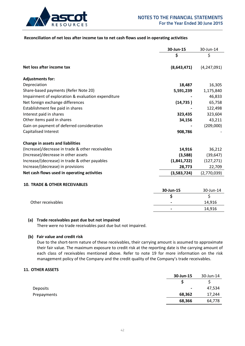

#### **Reconciliation of net loss after income tax to net cash flows used in operating activities**

| \$<br>\$<br>Net loss after income tax<br>(8,643,471)<br>(4, 247, 091)<br><b>Adjustments for:</b><br>Depreciation<br>18,487<br>16,305<br>Share-based payments (Refer Note 20)<br>1,175,840<br>5,591,239 |
|--------------------------------------------------------------------------------------------------------------------------------------------------------------------------------------------------------|
|                                                                                                                                                                                                        |
|                                                                                                                                                                                                        |
|                                                                                                                                                                                                        |
|                                                                                                                                                                                                        |
|                                                                                                                                                                                                        |
| Impairment of exploration & evaluation expenditure<br>46,833                                                                                                                                           |
| (14, 735)<br>65,758<br>Net foreign exchange differences                                                                                                                                                |
| Establishment fee paid in shares<br>122,498                                                                                                                                                            |
| Interest paid in shares<br>323,604<br>323,435                                                                                                                                                          |
| Other items paid in shares<br>43,211<br>34,156                                                                                                                                                         |
| Gain on payment of deferred consideration<br>(209,000)                                                                                                                                                 |
| Capitalised Interest<br>908,786                                                                                                                                                                        |
| <b>Change in assets and liabilities</b>                                                                                                                                                                |
| (Increase)/decrease in trade & other receivables<br>14,916<br>36,212                                                                                                                                   |
| (Increase)/decrease in other assets<br>(3,588)<br>(39, 647)                                                                                                                                            |
| Increase/(decrease) in trade & other payables<br>(1,841,722)<br>(127, 271)                                                                                                                             |
| Increase/(decrease) in provisions<br>28,773<br>22,709                                                                                                                                                  |
| Net cash flows used in operating activities<br>(3,583,724)<br>(2,770,039)                                                                                                                              |
| <b>10. TRADE &amp; OTHER RECEIVABLES</b>                                                                                                                                                               |
| 30-Jun-15<br>30-Jun-14                                                                                                                                                                                 |
| \$<br>\$                                                                                                                                                                                               |
| Other receivables<br>14,916                                                                                                                                                                            |
| 14,916                                                                                                                                                                                                 |

## **(a) Trade receivables past due but not impaired**

There were no trade receivables past due but not impaired.

## **(b) Fair value and credit risk**

Due to the short-term nature of these receivables, their carrying amount is assumed to approximate their fair value. The maximum exposure to credit risk at the reporting date is the carrying amount of each class of receivables mentioned above. Refer to note 19 for more information on the risk management policy of the Company and the credit quality of the Company's trade receivables.

## **11. OTHER ASSETS**

|             | 30-Jun-15      | 30-Jun-14 |
|-------------|----------------|-----------|
|             |                |           |
| Deposits    | $\blacksquare$ | 47,534    |
| Prepayments | 68,362         | 17,244    |
|             | 68,366         | 64,778    |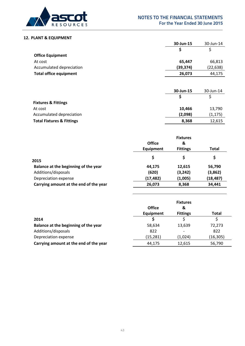

# **12. PLANT & EQUIPMENT**

|                                | 30-Jun-15 | 30-Jun-14 |
|--------------------------------|-----------|-----------|
|                                | S         | \$        |
| <b>Office Equipment</b>        |           |           |
| At cost                        | 65,447    | 66,813    |
| Accumulated depreciation       | (39, 374) | (22, 638) |
| <b>Total office equipment</b>  | 26,073    | 44,175    |
|                                |           |           |
|                                | 30-Jun-15 | 30-Jun-14 |
|                                | Ś         | \$        |
| <b>Fixtures &amp; Fittings</b> |           |           |
|                                |           |           |

| At cost                              | 10.466  | 13.790   |
|--------------------------------------|---------|----------|
| Accumulated depreciation             | (2,098) | (1, 175) |
| <b>Total Fixtures &amp; Fittings</b> | 8.368   | 12,615   |

|                                        |               | <b>Fixtures</b> |           |
|----------------------------------------|---------------|-----------------|-----------|
|                                        | <b>Office</b> | &               |           |
|                                        | Equipment     | <b>Fittings</b> | Total     |
| 2015                                   | \$            | \$              | \$        |
| Balance at the beginning of the year   | 44,175        | 12,615          | 56,790    |
| Additions/disposals                    | (620)         | (3, 242)        | (3,862)   |
| Depreciation expense                   | (17, 482)     | (1,005)         | (18, 487) |
| Carrying amount at the end of the year | 26,073        | 8,368           | 34,441    |

|                                        |               | <b>Fixtures</b> |              |
|----------------------------------------|---------------|-----------------|--------------|
|                                        | <b>Office</b> | &               |              |
|                                        | Equipment     | <b>Fittings</b> | <b>Total</b> |
| 2014                                   |               |                 |              |
| Balance at the beginning of the year   | 58,634        | 13,639          | 72,273       |
| Additions/disposals                    | 822           |                 | 822          |
| Depreciation expense                   | (15, 281)     | (1,024)         | (16, 305)    |
| Carrying amount at the end of the year | 44.175        | 12,615          | 56,790       |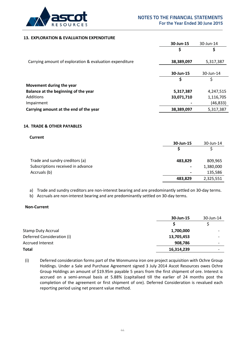

#### **13. EXPLORATION & EVALUATION EXPENDITURE**

|                                                         | 30-Jun-15  | 30-Jun-14 |
|---------------------------------------------------------|------------|-----------|
|                                                         | Ş          | \$        |
| Carrying amount of exploration & evaluation expenditure | 38,389,097 | 5,317,387 |
|                                                         |            |           |
|                                                         | 30-Jun-15  | 30-Jun-14 |
|                                                         | S          | Ş         |
| Movement during the year                                |            |           |
| Balance at the beginning of the year                    | 5,317,387  | 4,247,515 |
| <b>Additions</b>                                        | 33,071,710 | 1,116,705 |
| Impairment                                              |            | (46, 833) |
| Carrying amount at the end of the year                  | 38,389,097 | 5,317,387 |

#### **14. TRADE & OTHER PAYABLES**

# **Current 30-Jun-15** 30-Jun-14  **\$** \$ Trade and sundry creditors (a) **483,829** 809,965 Subscriptions received in advance **and all all and a set of the set of the set of the set of the set of the set of the set of the set of the set of the set of the set of the set of the set of the set of the set of the set** Accruals (b) **-** 135,586 **483,829** 2,325,551

a) Trade and sundry creditors are non-interest bearing and are predominantly settled on 30-day terms.

b) Accruals are non-interest bearing and are predominantly settled on 30-day terms.

## **Non-Current**

|                            | 30-Jun-15  | 30-Jun-14 |
|----------------------------|------------|-----------|
|                            |            |           |
| <b>Stamp Duty Accrual</b>  | 1,700,000  |           |
| Deferred Consideration (i) | 13,705,453 |           |
| Accrued Interest           | 908,786    |           |
| Total                      | 16,314,239 |           |
|                            |            |           |

(i) Deferred consideration forms part of the Wonmunna iron ore project acquisition with Ochre Group Holdings. Under a Sale and Purchase Agreement signed 3 July 2014 Ascot Resources owes Ochre Group Holdings an amount of \$19.95m payable 5 years from the first shipment of ore. Interest is accrued on a semi-annual basis at 5.88% (capitalised till the earlier of 24 months post the completion of the agreement or first shipment of ore). Deferred Consideration is revalued each reporting period using net present value method.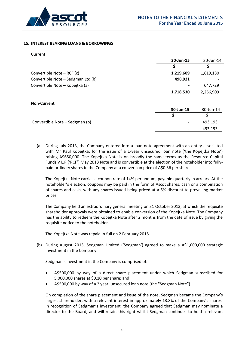

#### **15. INTEREST BEARING LOANS & BORROWINGS**

| Current |
|---------|
|---------|

|                                    | 30-Jun-15 | 30-Jun-14 |
|------------------------------------|-----------|-----------|
|                                    | \$        | S         |
| Convertible Note - RCF (c)         | 1,219,609 | 1,619,180 |
| Convertible Note - Sedgman Ltd (b) | 498,921   |           |
| Convertible Note - Kopejtka (a)    |           | 647,729   |
|                                    | 1,718,530 | 2,266,909 |
| <b>Non-Current</b>                 | 30-Jun-15 | 30-Jun-14 |
|                                    | \$        | \$        |
| Convertible Note - Sedgman (b)     |           | 493,193   |
|                                    |           | 493,193   |

(a) During July 2013, the Company entered into a loan note agreement with an entity associated with Mr Paul Kopejtka, for the issue of a 1-year unsecured loan note ('the Kopejtka Note') raising A\$650,000. The Kopejtka Note is on broadly the same terms as the Resource Capital Funds V L.P ('RCF') May 2013 Note and is convertible at the election of the noteholder into fullypaid ordinary shares in the Company at a conversion price of A\$0.36 per share.

The Kopejtka Note carries a coupon rate of 14% per annum, payable quarterly in arrears. At the noteholder's election, coupons may be paid in the form of Ascot shares, cash or a combination of shares and cash, with any shares issued being priced at a 5% discount to prevailing market prices.

The Company held an extraordinary general meeting on 31 October 2013, at which the requisite shareholder approvals were obtained to enable conversion of the Kopejtka Note. The Company has the ability to redeem the Kopejtka Note after 2 months from the date of issue by giving the requisite notice to the noteholder.

The Kopejtka Note was repaid in full on 2 February 2015.

(b) During August 2013, Sedgman Limited ('Sedgman') agreed to make a A\$1,000,000 strategic investment in the Company.

Sedgman's investment in the Company is comprised of:

- x A\$500,000 by way of a direct share placement under which Sedgman subscribed for 5,000,000 shares at \$0.10 per share; and
- A\$500,000 by way of a 2 year, unsecured loan note (the "Sedgman Note").

On completion of the share placement and issue of the note, Sedgman became the Company's largest shareholder, with a relevant interest in approximately 13.8% of the Company's shares. In recognition of Sedgman's investment, the Company agreed that Sedgman may nominate a director to the Board, and will retain this right whilst Sedgman continues to hold a relevant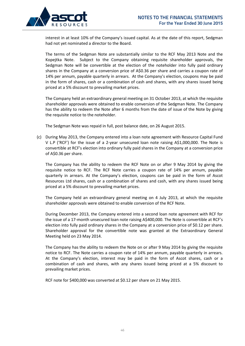

interest in at least 10% of the Company's issued capital. As at the date of this report, Sedgman had not yet nominated a director to the Board.

The terms of the Sedgman Note are substantially similar to the RCF May 2013 Note and the Kopejtka Note. Subject to the Company obtaining requisite shareholder approvals, the Sedgman Note will be convertible at the election of the noteholder into fully paid ordinary shares in the Company at a conversion price of A\$0.36 per share and carries a coupon rate of 14% per annum, payable quarterly in arrears. At the Company's election, coupons may be paid in the form of shares, cash or a combination of cash and shares, with any shares issued being priced at a 5% discount to prevailing market prices.

The Company held an extraordinary general meeting on 31 October 2013, at which the requisite shareholder approvals were obtained to enable conversion of the Sedgman Note. The Company has the ability to redeem the Note after 6 months from the date of issue of the Note by giving the requisite notice to the noteholder.

The Sedgman Note was repaid in full, post balance date, on 26 August 2015.

(c) During May 2013, the Company entered into a loan note agreement with Resource Capital Fund V L.P ('RCF') for the issue of a 2-year unsecured loan note raising A\$1,000,000. The Note is convertible at RCF's election into ordinary fully paid shares in the Company at a conversion price of A\$0.36 per share.

The Company has the ability to redeem the RCF Note on or after 9 May 2014 by giving the requisite notice to RCF. The RCF Note carries a coupon rate of 14% per annum, payable quarterly in arrears. At the Company's election, coupons can be paid in the form of Ascot Resources Ltd shares, cash or a combination of shares and cash, with any shares issued being priced at a 5% discount to prevailing market prices.

The Company held an extraordinary general meeting on 4 July 2013, at which the requisite shareholder approvals were obtained to enable conversion of the RCF Note.

During December 2013, the Company entered into a second loan note agreement with RCF for the issue of a 17-month unsecured loan note raising A\$400,000. The Note is convertible at RCF's election into fully paid ordinary shares in the Company at a conversion price of \$0.12 per share. Shareholder approval for the convertible note was granted at the Extraordinary General Meeting held on 23 May 2014.

The Company has the ability to redeem the Note on or after 9 May 2014 by giving the requisite notice to RCF. The Note carries a coupon rate of 14% per annum, payable quarterly in arrears. At the Company's election, interest may be paid in the form of Ascot shares, cash or a combination of cash and shares, with any shares issued being priced at a 5% discount to prevailing market prices.

RCF note for \$400,000 was converted at \$0.12 per share on 21 May 2015.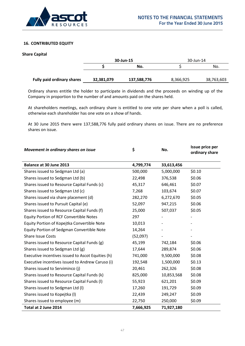

## **16. CONTRIBUTED EQUITY**

|                                   | 30-Jun-15  |             | 30-Jun-14 |            |
|-----------------------------------|------------|-------------|-----------|------------|
|                                   |            | No.         |           | No.        |
|                                   |            |             |           |            |
| <b>Fully paid ordinary shares</b> | 32,381,079 | 137,588,776 | 8,366,925 | 38,763,603 |

Ordinary shares entitle the holder to participate in dividends and the proceeds on winding up of the Company in proportion to the number of and amounts paid on the shares held.

At shareholders meetings, each ordinary share is entitled to one vote per share when a poll is called, otherwise each shareholder has one vote on a show of hands.

At 30 June 2015 there were 137,588,776 fully paid ordinary shares on issue. There are no preference shares on issue.

| Movement in ordinary shares on issue              | \$        | No.        | Issue price per<br>ordinary share |
|---------------------------------------------------|-----------|------------|-----------------------------------|
| Balance at 30 June 2013                           | 4,799,774 | 33,613,456 |                                   |
| Shares issued to Sedgman Ltd (a)                  | 500,000   | 5,000,000  | \$0.10                            |
| Shares issued to Sedgman Ltd (b)                  | 22,498    | 376,538    | \$0.06                            |
| Shares issued to Resource Capital Funds (c)       | 45,317    | 646,461    | \$0.07                            |
| Shares issued to Sedgman Ltd (c)                  | 7,268     | 103,674    | \$0.07                            |
| Shares issued via share placement (d)             | 282,270   | 6,272,670  | \$0.05                            |
| Shares issued to Pursuit Capital (e)              | 52,097    | 947,215    | \$0.06                            |
| Shares issued to Resource Capital Funds (f)       | 25,000    | 507,037    | \$0.05                            |
| Equity Portion of RCF Convertible Notes           | 297       |            |                                   |
| Equity Portion of Kopejtka Convertible Note       | 10,013    |            |                                   |
| Equity Portion of Sedgman Convertible Note        | 14,264    |            |                                   |
| <b>Share Issue Costs</b>                          | (52,097)  |            |                                   |
| Shares issued to Resource Capital Funds (g)       | 45,199    | 742,184    | \$0.06                            |
| Shares issued to Sedgman Ltd (g)                  | 17,644    | 289,874    | \$0.06                            |
| Executive incentives issued to Ascot Equities (h) | 741,000   | 9,500,000  | \$0.08                            |
| Executive incentives issued to Andrew Caruso (i)  | 192,548   | 1,500,000  | \$0.13                            |
| Shares issued to Serviminco (j)                   | 20,461    | 262,326    | \$0.08                            |
| Shares issued to Resource Capital Funds (k)       | 825,000   | 10,853,568 | \$0.08                            |
| Shares issued to Resource Capital Funds (I)       | 55,923    | 621,201    | \$0.09                            |
| Shares issued to Sedgman Ltd (I)                  | 17,260    | 191,729    | \$0.09                            |
| Shares issued to Kopejtka (I)                     | 22,439    | 249,247    | \$0.09                            |
| Shares issued to employee (m)                     | 22,750    | 250,000    | \$0.09                            |
| Total at 2 June 2014                              | 7,666,925 | 71,927,180 |                                   |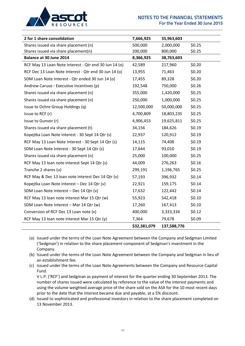

| 2 for 1 share consolidation                           | 7,666,925    | 35,963,603  |        |
|-------------------------------------------------------|--------------|-------------|--------|
| Shares issued via share placement (n)                 | 500,000      | 2,000,000   | \$0.25 |
| Shares issued via share placement(n)                  | 200,000      | 800,000     | \$0.25 |
| Balance at 30 June 2014                               | 8,366,925    | 38,763,603  |        |
| RCF May 13 Loan Note Interest - Qtr end 30 Jun 14 (o) | 42,589       | 217,960     | \$0.20 |
| RCF Dec 13 Loan Note Interest - Qtr end 30 Jun 14 (o) | 13,955       | 71,463      | \$0.20 |
| SDM Loan Note Interest - Qtr ended 30 Jun 14 (o)      | 17,455       | 89,328      | \$0.20 |
| Andrew Caruso - Executive Incentives (p)              | 192,548      | 750,000     | \$0.26 |
| Shares issued via share placement (n)                 | 355,000      | 1,420,000   | \$0.25 |
| Shares issued via share placement (n)                 | 250,000      | 1,000,000   | \$0.25 |
| Issue to Ochre Group Holdings (q)                     | 12,500,000   | 50,000,000  | \$0.25 |
| Issue to RCF (r)                                      | 4,700,809    | 18,803,235  | \$0.25 |
| Issue to Gunvor (r)                                   | 4,906,453    | 19,625,811  | \$0.25 |
| Shares issued via share placement (t)                 | 34,156       | 184,626     | \$0.19 |
| Kopejtka Loan Note Interest - 30 Sept 14 Qtr (s)      | 22,937       | 120,912     | \$0.19 |
| RCF May 13 Loan Note Interest - 30 Sept 14 Qtr (s)    | 14,115       | 74,408      | \$0.19 |
| SDM Loan Note Interest - 30 Sept 14 Qtr (s)           | 17,644       | 93,010      | \$0.19 |
| Shares issued via share placement (n)                 | 25,000       | 100,000     | \$0.25 |
| RCF May 13 Ioan note interest Sept 14 Qtr (s)         | 44,009       | 276,263     | \$0.16 |
| Tranche 2 shares (u)                                  | 299,191      | 1,196,765   | \$0.25 |
| RCF May & Dec 13 Ioan note interest Dec 14 Qtr (v)    | 57,193       | 396,932     | \$0.14 |
| Kopejtka Loan Note Interest - Dec 14 Qtr (v)          | 22,921       | 159,175     | \$0.14 |
| SDM Loan Note Interest - Dec 14 Qtr (v)               | 17,632       | 122,442     | \$0.14 |
| RCF May 13 Ioan note interest Mar 15 Qtr (w)          | 55,923       | 542,418     | \$0.10 |
| SDM Loan Note Interest - Mar 14 Qtr (w)               | 17,260       | 167,413     | \$0.10 |
| Conversion of RCF Dec 13 Loan note (x)                | 400,000      | 3,333,334   | \$0.12 |
| RCF May 13 Ioan note interest Mar 15 Qtr (y)          | 7,364        | 79,678      | \$0.09 |
|                                                       | \$32,381,079 | 137,588,776 |        |

- (a) Issued under the terms of the Loan Note Agreement between the Company and Sedgman Limited ('Sedgman') in relation to the share placement component of Sedgman's investment in the Company.
- (b) Issued under the terms of the Loan Note Agreement between the Company and Sedgman in lieu of an establishment fee.
- (c) Issued under the terms of the Loan Note Agreements between the Company and Resource Capital Fund.

V L.P. ('RCF') and Sedgman as payment of interest for the quarter ending 30 September 2013. The number of shares issued were calculated by reference to the value of the interest payments and using the volume weighted average price of the share sold on the ASX for the 10 most recent days prior to the date that the interest became due and payable, at a 5% discount.

(d) Issued to sophisticated and professional investors in relation to the share placement completed on 13 November 2013.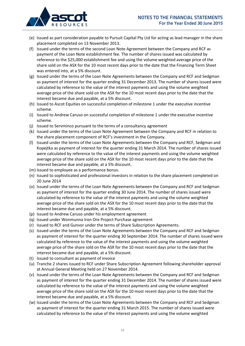

- (e) Issued as part consideration payable to Pursuit Capital Pty Ltd for acting as lead manager in the share placement completed on 13 November 2013.
- (f) Issued under the terms of the second Loan Note Agreement between the Company and RCF as payment of the Loan Note establishment fee. The number of shares issued was calculated by reference to the \$25,000 establishment fee and using the volume weighted average price of the share sold on the ASX for the 10 most recent days prior to the date that the Financing Term Sheet was entered into, at a 5% discount.
- (g) Issued under the terms of the Loan Note Agreements between the Company and RCF and Sedgman as payment of interest for the quarter ending 31 December 2013. The number of shares issued were calculated by reference to the value of the interest payments and using the volume weighted average price of the share sold on the ASX for the 10 most recent days prior to the date that the interest became due and payable, at a 5% discount.
- (h) Issued to Ascot Equities on successful completion of milestone 1 under the executive incentive scheme.
- (i) Issued to Andrew Caruso on successful completion of milestone 1 under the executive incentive scheme.
- (j) Issued to Servminco pursuant to the terms of a consultancy agreement
- (k) Issued under the terms of the Loan Note Agreement between the Company and RCF in relation to the share placement component of RCF's investment in the Company.
- (l) Issued under the terms of the Loan Note Agreements between the Company and RCF, Sedgman and Kopejtka as payment of interest for the quarter ending 31 March 2014. The number of shares issued were calculated by reference to the value of the interest payments and using the volume weighted average price of the share sold on the ASX for the 10 most recent days prior to the date that the interest became due and payable, at a 5% discount.
- (m) Issued to employee as a performance bonus.
- (n) Issued to sophisticated and professional investors in relation to the share placement completed on 20 June 2014
- (o) Issued under the terms of the Loan Note Agreements between the Company and RCF and Sedgman as payment of interest for the quarter ending 30 June 2014. The number of shares issued were calculated by reference to the value of the interest payments and using the volume weighted average price of the share sold on the ASX for the 10 most recent days prior to the date that the interest became due and payable, at a 5% discount.
- (p) Issued to Andrew Caruso under his employment agreement
- (q) Issued under Wonmunna Iron Ore Project Purchase agreement
- (r) Issued to RCF and Gunvor under the terms of Share Subscription Agreements.
- (s) Issued under the terms of the Loan Note Agreements between the Company and RCF and Sedgman as payment of interest for the quarter ending 30 September 2014. The number of shares issued were calculated by reference to the value of the interest payments and using the volume weighted average price of the share sold on the ASX for the 10 most recent days prior to the date that the interest became due and payable, at a 5% discount.
- (t) Issued to consultant as payment of invoice
- (u) Tranche 2 shares issued to RCF under Share Subscription Agreement following shareholder approval at Annual General Meeting held on 27 November 2014.
- (v) Issued under the terms of the Loan Note Agreements between the Company and RCF and Sedgman as payment of interest for the quarter ending 31 December 2014. The number of shares issued were calculated by reference to the value of the interest payments and using the volume weighted average price of the share sold on the ASX for the 10 most recent days prior to the date that the interest became due and payable, at a 5% discount.
- (w) Issued under the terms of the Loan Note Agreements between the Company and RCF and Sedgman as payment of interest for the quarter ending 31 March 2015. The number of shares issued were calculated by reference to the value of the interest payments and using the volume weighted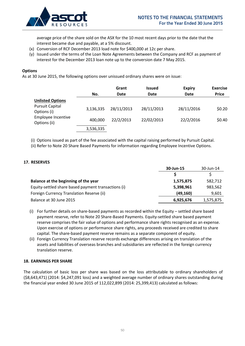

average price of the share sold on the ASX for the 10 most recent days prior to the date that the interest became due and payable, at a 5% discount.

- (x) Conversion of RCF December 2013 load note for \$400,000 at 12c per share.
- (y) Issued under the terms of the Loan Note Agreements between the Company and RCF as payment of interest for the December 2013 loan note up to the conversion date 7 May 2015.

#### **Options**

As at 30 June 2015, the following options over unissued ordinary shares were on issue:

|                                       |           | Grant       | <b>Issued</b> | <b>Expiry</b> | <b>Exercise</b> |
|---------------------------------------|-----------|-------------|---------------|---------------|-----------------|
|                                       | No.       | <b>Date</b> | Date          | <b>Date</b>   | <b>Price</b>    |
| <b>Unlisted Options</b>               |           |             |               |               |                 |
| <b>Pursuit Capital</b><br>Options (i) | 3,136,335 | 28/11/2013  | 28/11/2013    | 28/11/2016    | \$0.20          |
| Employee Incentive<br>Options (ii)    | 400,000   | 22/2/2013   | 22/02/2013    | 22/2/2016     | \$0.40          |
|                                       | 3,536,335 |             |               |               |                 |

(i) Options issued as part of the fee associated with the capital raising performed by Pursuit Capital.

(ii) Refer to Note 20 Share Based Payments for information regarding Employee Incentive Options.

## **17. RESERVES**

|                                                     | 30-Jun-15 | 30-Jun-14 |
|-----------------------------------------------------|-----------|-----------|
|                                                     |           |           |
| Balance at the beginning of the year                | 1,575,875 | 582,712   |
| Equity-settled share based payment transactions (i) | 5,398,961 | 983,562   |
| Foreign Currency Translation Reserve (ii)           | (49, 160) | 9,601     |
| Balance at 30 June 2015                             | 6,925,676 | 1,575,875 |

- (i) For further details on share-based payments as recorded within the Equity settled share based payment reserve, refer to Note 20 Share-Based Payments. Equity-settled share based payment reserve comprises the fair value of options and performance share rights recognised as an expense. Upon exercise of options or performance share rights, any proceeds received are credited to share capital. The share-based payment reserve remains as a separate component of equity.
- (ii) Foreign Currency Translation reserve records exchange differences arising on translation of the assets and liabilities of overseas branches and subsidiaries are reflected in the foreign currency translation reserve.

## **18. EARNINGS PER SHARE**

The calculation of basic loss per share was based on the loss attributable to ordinary shareholders of (\$8,643,471) (2014: \$4,247,091 loss) and a weighted average number of ordinary shares outstanding during the financial year ended 30 June 2015 of 112,022,899 (2014: 25,399,413) calculated as follows: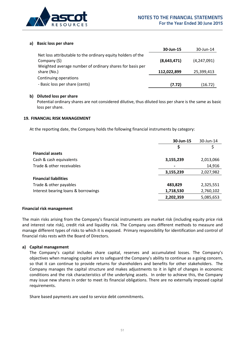

# **a) Basic loss per share**

|                                                             | 30-Jun-15   | 30-Jun-14     |
|-------------------------------------------------------------|-------------|---------------|
| Net loss attributable to the ordinary equity holders of the |             |               |
| Company (\$)                                                | (8,643,471) | (4, 247, 091) |
| Weighted average number of ordinary shares for basis per    |             |               |
| share (No.)                                                 | 112,022,899 | 25,399,413    |
| Continuing operations                                       |             |               |
| - Basic loss per share (cents)                              | (7.72)      | (16.72)       |

## **b) Diluted loss per share**

Potential ordinary shares are not considered dilutive, thus diluted loss per share is the same as basic loss per share.

#### **19. FINANCIAL RISK MANAGEMENT**

At the reporting date, the Company holds the following financial instruments by category:

|                                     | 30-Jun-15 | 30-Jun-14 |
|-------------------------------------|-----------|-----------|
|                                     | \$        | \$        |
| <b>Financial assets</b>             |           |           |
| Cash & cash equivalents             | 3,155,239 | 2,013,066 |
| Trade & other receivables           |           | 14,916    |
|                                     | 3,155,239 | 2,027,982 |
| <b>Financial liabilities</b>        |           |           |
| Trade & other payables              | 483,829   | 2,325,551 |
| Interest bearing loans & borrowings | 1,718,530 | 2,760,102 |
|                                     | 2,202,359 | 5,085,653 |

## **Financial risk management**

The main risks arising from the Company's financial instruments are market risk (including equity price risk and interest rate risk), credit risk and liquidity risk. The Company uses different methods to measure and manage different types of risks to which it is exposed. Primary responsibility for identification and control of financial risks rests with the Board of Directors.

## **a) Capital management**

The Company's capital includes share capital, reserves and accumulated losses. The Company's objectives when managing capital are to safeguard the Company's ability to continue as a going concern, so that it can continue to provide returns for shareholders and benefits for other stakeholders. The Company manages the capital structure and makes adjustments to it in light of changes in economic conditions and the risk characteristics of the underlying assets. In order to achieve this, the Company may issue new shares in order to meet its financial obligations. There are no externally imposed capital requirements.

Share based payments are used to service debt commitments.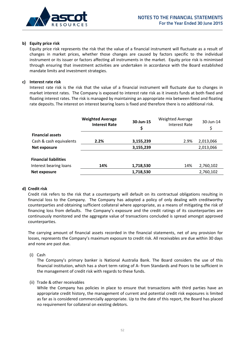

# **b) Equity price risk**

Equity price risk represents the risk that the value of a financial instrument will fluctuate as a result of changes in market prices, whether those changes are caused by factors specific to the individual instrument or its issuer or factors affecting all instruments in the market. Equity price risk is minimised through ensuring that investment activities are undertaken in accordance with the Board established mandate limits and investment strategies.

# **c) Interest rate risk**

Interest rate risk is the risk that the value of a financial instrument will fluctuate due to changes in market interest rates. The Company is exposed to interest rate risk as it invests funds at both fixed and floating interest rates. The risk is managed by maintaining an appropriate mix between fixed and floating rate deposits. The interest on interest bearing loans is fixed and therefore there is no additional risk.

|                              | <b>Weighted Average</b><br><b>Interest Rate</b> | 30-Jun-15<br>\$ | <b>Weighted Average</b><br><b>Interest Rate</b> | 30-Jun-14 |
|------------------------------|-------------------------------------------------|-----------------|-------------------------------------------------|-----------|
| <b>Financial assets</b>      |                                                 |                 |                                                 |           |
| Cash & cash equivalents      | 2.2%                                            | 3,155,239       | 2.9%                                            | 2,013,066 |
| Net exposure                 |                                                 | 3,155,239       |                                                 | 2,013,066 |
| <b>Financial liabilities</b> |                                                 |                 |                                                 |           |
| Interest bearing loans       | 14%                                             | 1,718,530       | 14%                                             | 2,760,102 |
| Net exposure                 |                                                 | 1,718,530       |                                                 | 2,760,102 |

# **d) Credit risk**

Credit risk refers to the risk that a counterparty will default on its contractual obligations resulting in financial loss to the Company. The Company has adopted a policy of only dealing with creditworthy counterparties and obtaining sufficient collateral where appropriate, as a means of mitigating the risk of financing loss from defaults. The Company's exposure and the credit ratings of its counterparties are continuously monitored and the aggregate value of transactions concluded is spread amongst approved counterparties.

The carrying amount of financial assets recorded in the financial statements, net of any provision for losses, represents the Company's maximum exposure to credit risk. All receivables are due within 30 days and none are past due.

(i) Cash

The Company's primary banker is National Australia Bank. The Board considers the use of this financial institution, which has a short term rating of A- from Standards and Poors to be sufficient in the management of credit risk with regards to these funds.

# (ii) Trade & other receivables

While the Company has policies in place to ensure that transactions with third parties have an appropriate credit history, the management of current and potential credit risk exposures is limited as far as is considered commercially appropriate. Up to the date of this report, the Board has placed no requirement for collateral on existing debtors.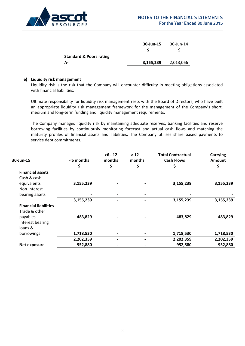

|                                    | 30-Jun-15 | 30-Jun-14 |
|------------------------------------|-----------|-----------|
|                                    |           |           |
| <b>Standard &amp; Poors rating</b> |           |           |
| А-                                 | 3,155,239 | 2,013,066 |

#### **e) Liquidity risk management**

Liquidity risk is the risk that the Company will encounter difficulty in meeting obligations associated with financial liabilities.

Ultimate responsibility for liquidity risk management rests with the Board of Directors, who have built an appropriate liquidity risk management framework for the management of the Company's short, medium and long-term funding and liquidity management requirements.

The Company manages liquidity risk by maintaining adequate reserves, banking facilities and reserve borrowing facilities by continuously monitoring forecast and actual cash flows and matching the maturity profiles of financial assets and liabilities. The Company utilises share based payments to service debt commitments.

| 30-Jun-15                    | <6 months | $>6 - 12$<br>months      | >12<br>months            | <b>Total Contractual</b><br><b>Cash Flows</b> | <b>Carrying</b><br><b>Amount</b> |
|------------------------------|-----------|--------------------------|--------------------------|-----------------------------------------------|----------------------------------|
|                              | \$        | \$                       | \$                       | \$                                            | \$                               |
| <b>Financial assets</b>      |           |                          |                          |                                               |                                  |
| Cash & cash                  |           |                          |                          |                                               |                                  |
| equivalents                  | 3,155,239 |                          |                          | 3,155,239                                     | 3,155,239                        |
| Non-interest                 |           |                          |                          |                                               |                                  |
| bearing assets               | -         | $\blacksquare$           | $\overline{\phantom{0}}$ |                                               |                                  |
|                              | 3,155,239 | $\overline{\phantom{0}}$ | $\overline{\phantom{0}}$ | 3,155,239                                     | 3,155,239                        |
| <b>Financial liabilities</b> |           |                          |                          |                                               |                                  |
| Trade & other                |           |                          |                          |                                               |                                  |
| payables                     | 483,829   |                          |                          | 483,829                                       | 483,829                          |
| Interest bearing             |           |                          |                          |                                               |                                  |
| loans &                      |           |                          |                          |                                               |                                  |
| borrowings                   | 1,718,530 |                          |                          | 1,718,530                                     | 1,718,530                        |
|                              | 2,202,359 |                          |                          | 2,202,359                                     | 2,202,359                        |
| Net exposure                 | 952,880   |                          |                          | 952,880                                       | 952,880                          |
|                              |           |                          |                          |                                               |                                  |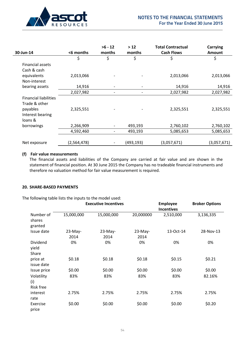

|                              |             | $>6 - 12$                | >12        | <b>Total Contractual</b> | Carrying      |  |
|------------------------------|-------------|--------------------------|------------|--------------------------|---------------|--|
| 30-Jun-14                    | <6 months   | months                   | months     | <b>Cash Flows</b>        | <b>Amount</b> |  |
|                              | \$          | \$                       | \$         | \$                       | \$            |  |
| Financial assets             |             |                          |            |                          |               |  |
| Cash & cash                  |             |                          |            |                          |               |  |
| equivalents                  | 2,013,066   |                          |            | 2,013,066                | 2,013,066     |  |
| Non-interest                 |             |                          |            |                          |               |  |
| bearing assets               | 14,916      |                          |            | 14,916                   | 14,916        |  |
|                              | 2,027,982   |                          |            | 2,027,982                | 2,027,982     |  |
| <b>Financial liabilities</b> |             |                          |            |                          |               |  |
| Trade & other                |             |                          |            |                          |               |  |
| payables                     | 2,325,551   |                          |            | 2,325,551                | 2,325,551     |  |
| Interest bearing             |             |                          |            |                          |               |  |
| loans &                      |             |                          |            |                          |               |  |
| borrowings                   | 2,266,909   | $\overline{\phantom{a}}$ | 493,193    | 2,760,102                | 2,760,102     |  |
|                              | 4,592,460   | $\overline{\phantom{a}}$ | 493,193    | 5,085,653                | 5,085,653     |  |
|                              |             |                          |            |                          |               |  |
| Net exposure                 | (2,564,478) |                          | (493, 193) | (3,057,671)              | (3,057,671)   |  |

#### **(f) Fair value measurements**

The financial assets and liabilities of the Company are carried at fair value and are shown in the statement of financial position. At 30 June 2015 the Company has no tradeable financial instruments and therefore no valuation method for fair value measurement is required.

#### **20. SHARE-BASED PAYMENTS**

The following table lists the inputs to the model used:

|                                |            | <b>Executive Incentives</b> |            | <b>Employee</b><br><b>Incentives</b> | <b>Broker Options</b> |
|--------------------------------|------------|-----------------------------|------------|--------------------------------------|-----------------------|
| Number of<br>shares<br>granted | 15,000,000 | 15,000,000                  | 20,000000  | 2,510,000                            | 3,136,335             |
| Issue date                     | $23-May-$  | $23-May-$                   | $23-May-$  | 13-Oct-14                            | 28-Nov-13             |
| Dividend<br>yield<br>Share     | 2014<br>0% | 2014<br>0%                  | 2014<br>0% | 0%                                   | 0%                    |
| price at<br>issue date         | \$0.18     | \$0.18                      | \$0.18     | \$0.15                               | \$0.21                |
| Issue price                    | \$0.00     | \$0.00                      | \$0.00     | \$0.00                               | \$0.00                |
| Volatility<br>(i)<br>Risk free | 83%        | 83%                         | 83%        | 83%                                  | 82.16%                |
| interest<br>rate               | 2.75%      | 2.75%                       | 2.75%      | 2.75%                                | 2.75%                 |
| Exercise<br>price              | \$0.00     | \$0.00                      | \$0.00     | \$0.00                               | \$0.20                |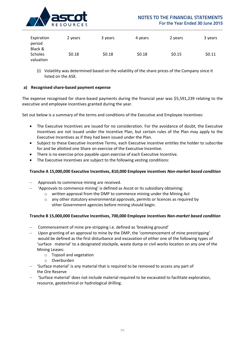

| Expiration<br>period | 2 years | 3 years | 4 years | 2 years | 3 years |
|----------------------|---------|---------|---------|---------|---------|
| Black &              |         |         |         |         |         |
| Scholes<br>valuation | \$0.18  | \$0.18  | \$0.18  | \$0.15  | \$0.11  |

(i) Volatility was determined based on the volatility of the share prices of the Company since it listed on the ASX.

## **a) Recognised share-based payment expense**

The expense recognised for share-based payments during the financial year was \$5,591,239 relating to the executive and employee incentives granted during the year.

Set out below is a summary of the terms and conditions of the Executive and Employee Incentives:

- The Executive Incentives are issued for no consideration. For the avoidance of doubt, the Executive Incentives are not issued under the Incentive Plan, but certain rules of the Plan may apply to the Executive Incentives as if they had been issued under the Plan.
- Subject to these Executive Incentive Terms, each Executive Incentive entitles the holder to subscribe for and be allotted one Share on exercise of the Executive Incentive.
- There is no exercise price payable upon exercise of each Executive Incentive.
- The Executive Incentives are subject to the following vesting conditions:

## **Tranche A 15,000,000 Executive Incentives, 810,000 Employee incentives** *Non-market based condition*

- Approvals to commence mining are received.
- 'Approvals to commence mining' is defined as Ascot or its subsidiary obtaining:
	- o written approval from the DMP to commence mining under the Mining Act
	- $\circ$  any other statutory environmental approvals, permits or licences as required by
		- other Government agencies before mining should begin.

## **Tranche B 15,000,000 Executive Incentives, 700,000 Employee incentives** *Non-market based condition*

- Commencement of mine pre-stripping i.e. defined as 'breaking ground'
- Upon granting of an approval to mine by the DMP, the 'commencement of mine prestripping' would be defined as the first disturbance and excavation of either one of the following types of 'surface material' to a designated stockpile, waste dump or civil works location on any one of the Mining Leases:
	- o Topsoil and vegetation
	- o Overburden
- 'Surface material' is any material that is required to be removed to access any part of the Ore Reserve
- 'Surface material' does not include material required to be excavated to facilitate exploration, resource, geotechnical or hydrological drilling.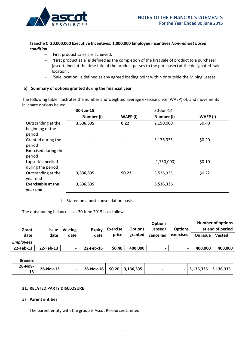

 $\overline{\phantom{a}}$ 

## **Tranche C 20,000,000 Executive Incentives, 1,000,000 Employee incentives** *Non-market based condition*

- First product sales are achieved.
- 'First product sale' is defined as the completion of the first sale of product to a purchaser (ascertained at the time title of the product passes to the purchaser) at the designated 'sale location'.
- 'Sale location' is defined as any agreed loading point within or outside the Mining Leases.

## **b) Summary of options granted during the financial year**

The following table illustrates the number and weighted average exercise price (WAEP) of, and movements in, share options issued.

|                                                  | 30-Jun-15      |                | 30-Jun-14   |          |
|--------------------------------------------------|----------------|----------------|-------------|----------|
|                                                  | Number (i)     | WAEP (i)       | Number (i)  | WAEP (i) |
| Outstanding at the<br>beginning of the<br>period | 3,536,335      | 0.22           | 2,150,000   | \$0.40   |
| Granted during the<br>period                     |                | $\blacksquare$ | 3,136,335   | \$0.20   |
| Exercised during the<br>period                   | $\blacksquare$ | $\blacksquare$ |             |          |
| Lapsed/cancelled<br>during the period            |                | $\blacksquare$ | (1,750,000) | \$0.10   |
| Outstanding at the<br>year end                   | 3,536,335      | \$0.22         | 3,536,335   | \$0.22   |
| <b>Exercisable at the</b><br>year end            | 3,536,335      |                | 3,536,335   |          |

i. Stated on a post consolidation basis

The outstanding balance as at 30 June 2015 is as follows:

| Grant            | <b>Issue</b> | <b>Vesting</b> | <b>Expirv</b> | <b>Exercise</b> | <b>Options</b> | <b>Options</b><br>Lapsed/ | <b>Options</b>           |          | <b>Number of options</b><br>at end of period |
|------------------|--------------|----------------|---------------|-----------------|----------------|---------------------------|--------------------------|----------|----------------------------------------------|
| date             | date         | date           | date          | price           | granted        | cancelled                 | exercised                | On issue | <b>Vested</b>                                |
| <b>Employees</b> |              |                |               |                 |                |                           |                          |          |                                              |
| 22-Feb-13        | 22-Feb-13    | $\blacksquare$ | 22-Feb-16     | \$0.40          | 400,000        | $\overline{\phantom{0}}$  | $\overline{\phantom{0}}$ | 400,000  | 400,000                                      |

*Brokers*  **28-Nov-**13 **28-Nov-13** - 28-Nov-16 \$0.20 3,136,335 - - 3,136,335 3,136,335

## **21. RELATED PARTY DISCLOSURE**

## **a) Parent entities**

The parent entity with the group is Ascot Resources Limited.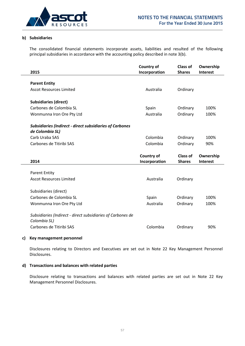

## **b) Subsidiaries**

The consolidated financial statements incorporate assets, liabilities and resulted of the following principal subsidiaries in accordance with the accounting policy described in note 3(b).

|                                                                                    | <b>Country of</b> | <b>Class of</b> | Ownership       |
|------------------------------------------------------------------------------------|-------------------|-----------------|-----------------|
| 2015                                                                               | Incorporation     | <b>Shares</b>   | <b>Interest</b> |
| <b>Parent Entity</b>                                                               |                   |                 |                 |
| <b>Ascot Resources Limited</b>                                                     | Australia         | Ordinary        |                 |
|                                                                                    |                   |                 |                 |
| <b>Subsidiaries (direct)</b>                                                       |                   |                 |                 |
| Carbones de Colombia SL                                                            | Spain             | Ordinary        | 100%            |
| Wonmunna Iron Ore Pty Ltd                                                          | Australia         | Ordinary        | 100%            |
| <b>Subsidiaries (Indirect - direct subsidiaries of Carbones</b><br>de Colombia SL) |                   |                 |                 |
| Carb Uraba SAS                                                                     | Colombia          | Ordinary        | 100%            |
| Carbones de Titiribi SAS                                                           | Colombia          | Ordinary        | 90%             |
|                                                                                    |                   |                 |                 |
|                                                                                    |                   |                 |                 |
|                                                                                    | <b>Country of</b> | Class of        | Ownership       |
| 2014                                                                               | Incorporation     | <b>Shares</b>   | <b>Interest</b> |
|                                                                                    |                   |                 |                 |
| <b>Parent Entity</b><br><b>Ascot Resources Limited</b>                             | Australia         | Ordinary        |                 |
| Subsidiaries (direct)                                                              |                   |                 |                 |
| Carbones de Colombia SL                                                            | Spain             | Ordinary        | 100%            |
| Wonmunna Iron Ore Pty Ltd                                                          | Australia         | Ordinary        | 100%            |
| Subsidiaries (Indirect - direct subsidiaries of Carbones de<br>Colombia SL)        |                   |                 |                 |
| Carbones de Titiribi SAS                                                           | Colombia          | Ordinary        | 90%             |

### **c) Key management personnel**

Disclosures relating to Directors and Executives are set out in Note 22 Key Management Personnel Disclosures.

#### **d) Transactions and balances with related parties**

Disclosure relating to transactions and balances with related parties are set out in Note 22 Key Management Personnel Disclosures.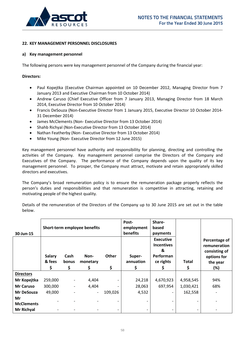

## **22. KEY MANAGEMENT PERSONNEL DISCLOSURES**

#### **a) Key management personnel**

The following persons were key management personnel of the Company during the financial year:

#### **Directors:**

- Paul Kopejtka (Executive Chairman appointed on 10 December 2012, Managing Director from 7 January 2013 and Executive Chairman from 10 October 2014)
- Andrew Caruso (Chief Executive Officer from 7 January 2013, Managing Director from 18 March 2014, Executive Director from 10 October 2014)
- Francis DeSouza (Non-Executive Director from 1 January 2015, Executive Director 10 October 2014-31 December 2014)
- James McClements (Non- Executive Director from 13 October 2014)
- Shahb Richyal (Non-Executive Director from 13 October 2014)
- Nathan Featherby (Non- Executive Director from 13 October 2014)
- Mike Young (Non- Executive Director from 12 June 2015)

Key management personnel have authority and responsibility for planning, directing and controlling the activities of the Company. Key management personnel comprise the Directors of the Company and Executives of the Company. The performance of the Company depends upon the quality of its key management personnel. To prosper, the Company must attract, motivate and retain appropriately skilled directors and executives.

The Company's broad remuneration policy is to ensure the remuneration package properly reflects the person's duties and responsibilities and that remuneration is competitive in attracting, retaining and motivating people of the highest quality.

Details of the remuneration of the Directors of the Company up to 30 June 2015 are set out in the table below.

| 30-Jun-15         |                         |                          | Short-term employee benefits |              | Post-<br>employment<br>benefits | Share-<br>based<br>payments                                          |              |                                                                           |
|-------------------|-------------------------|--------------------------|------------------------------|--------------|---------------------------------|----------------------------------------------------------------------|--------------|---------------------------------------------------------------------------|
|                   | <b>Salary</b><br>& fees | Cash<br>bonus            | Non-<br>monetary             | <b>Other</b> | Super-<br>annuation             | <b>Executive</b><br><b>Incentives</b><br>&<br>Performan<br>ce rights | <b>Total</b> | Percentage of<br>remuneration<br>consisting of<br>options for<br>the year |
|                   | S                       | \$                       | \$                           | \$           | \$                              |                                                                      | \$           | (%)                                                                       |
| <b>Directors</b>  |                         |                          |                              |              |                                 |                                                                      |              |                                                                           |
| Mr Kopejtka       | 259,000                 | $\overline{\phantom{a}}$ | 4,404                        |              | 24,218                          | 4,670,923                                                            | 4,958,545    | 94%                                                                       |
| <b>Mr Caruso</b>  | 300,000                 | $\overline{\phantom{a}}$ | 4,404                        |              | 28,063                          | 697,954                                                              | 1,030,421    | 68%                                                                       |
| Mr DeSouza        | 49,000                  |                          | $\overline{\phantom{a}}$     | 109,026      | 4,532                           | $\overline{\phantom{a}}$                                             | 162,558      |                                                                           |
| Mr                |                         |                          |                              |              |                                 |                                                                      |              |                                                                           |
| <b>McClements</b> |                         |                          |                              |              |                                 |                                                                      |              |                                                                           |
| <b>Mr Richyal</b> |                         |                          |                              |              |                                 |                                                                      |              |                                                                           |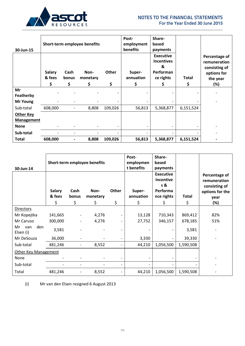

| 30-Jun-15                      |                         |               | Short-term employee benefits |              | Post-<br>employment<br>benefits | Share-<br>based<br>payments                                          |              |                                                                           |
|--------------------------------|-------------------------|---------------|------------------------------|--------------|---------------------------------|----------------------------------------------------------------------|--------------|---------------------------------------------------------------------------|
|                                | <b>Salary</b><br>& fees | Cash<br>bonus | Non-<br>monetary             | <b>Other</b> | Super-<br>annuation             | <b>Executive</b><br><b>Incentives</b><br>&<br>Performan<br>ce rights | <b>Total</b> | Percentage of<br>remuneration<br>consisting of<br>options for<br>the year |
|                                | S                       | \$            | \$                           | \$           | \$                              | Ş.                                                                   | \$           | (%)                                                                       |
| Mr<br>Featherby                |                         |               |                              |              |                                 |                                                                      |              |                                                                           |
| <b>Mr Young</b>                |                         |               |                              |              |                                 |                                                                      |              |                                                                           |
| Sub-total                      | 608,000                 | -             | 8,808                        | 109,026      | 56,813                          | 5,368,877                                                            | 6,151,524    |                                                                           |
| Other Key<br><b>Management</b> |                         |               |                              |              |                                 |                                                                      |              |                                                                           |
| <b>None</b>                    |                         |               |                              |              |                                 |                                                                      |              |                                                                           |
| Sub-total                      |                         |               |                              |              |                                 |                                                                      |              |                                                                           |
| <b>Total</b>                   | 608,000                 |               | 8,808                        | 109,026      | 56,813                          | 5,368,877                                                            | 6,151,524    |                                                                           |

| 30-Jun-14                     |                         |                          | Short-term employee benefits |                   | Post-<br>employmen<br>t benefits | Share-<br>based<br>payments                                    |              |                                                                           |
|-------------------------------|-------------------------|--------------------------|------------------------------|-------------------|----------------------------------|----------------------------------------------------------------|--------------|---------------------------------------------------------------------------|
|                               | <b>Salary</b><br>& fees | Cash<br>bonus            | Non-<br>monetary             | Other             | Super-<br>annuation              | <b>Executive</b><br>Incentive<br>s &<br>Performa<br>nce rights | <b>Total</b> | Percentage of<br>remuneration<br>consisting of<br>options for the<br>year |
|                               | \$                      | \$                       | \$                           | \$                | \$                               | \$                                                             | \$           | (%)                                                                       |
| <b>Directors</b>              |                         |                          |                              |                   |                                  |                                                                |              |                                                                           |
| Mr Kopejtka                   | 141,665                 | $\overline{\phantom{a}}$ | 4,276                        |                   | 13,128                           | 710,343                                                        | 869,412      | 82%                                                                       |
| Mr Caruso                     | 300,000                 | $\overline{\phantom{a}}$ | 4,276                        |                   | 27,752                           | 346,157                                                        | 678,185      | 51%                                                                       |
| den<br>Mr<br>van<br>Elsen (i) | 3,581                   |                          |                              |                   |                                  |                                                                | 3,581        |                                                                           |
| Mr DeSouza                    | 36,000                  |                          |                              |                   | 3,330                            |                                                                | 39,330       |                                                                           |
| Sub-total                     | 481,246                 |                          | 8,552                        |                   | 44,210                           | 1,056,500                                                      | 1,590,508    |                                                                           |
| <b>Other Key Management</b>   |                         |                          |                              |                   |                                  |                                                                |              |                                                                           |
| None                          |                         |                          |                              |                   |                                  |                                                                |              |                                                                           |
| Sub-total                     |                         |                          |                              | -                 |                                  |                                                                |              |                                                                           |
| Total                         | 481,246                 |                          | 8,552                        | $\qquad \qquad -$ | 44,210                           | 1,056,500                                                      | 1,590,508    |                                                                           |

(i) Mr van den Elsen resigned 6 August 2013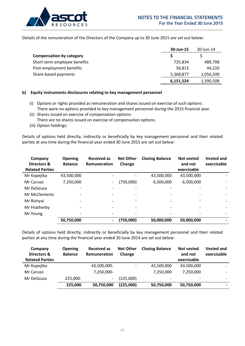

Details of the remuneration of the Directors of the Company up to 30 June 2015 are set out below:

|                                 | 30-Jun-15 | 30-Jun-14 |
|---------------------------------|-----------|-----------|
| <b>Compensation by category</b> |           |           |
| Short-term employee benefits    | 725,834   | 489,798   |
| Post-employment benefits        | 56,813    | 44,210    |
| Share-based payments            | 5,368,877 | 1,056,500 |
|                                 | 6,151,524 | 1,590,508 |

## **b) Equity instruments disclosures relating to key management personnel**

- (i) Options or rights provided as remuneration and shares issued on exercise of such options: There were no options provided to key management personnel during the 2015 financial year.
- (ii) Shares issued on exercise of compensation options: There are no shares issued on exercise of compensation options.
- (iii) Option holdings:

Details of options held directly, indirectly or beneficially by key management personnel and their related parties at any time during the financial year ended 30 June 2015 are set out below:

| Company<br>Directors & | <b>Opening</b><br><b>Balance</b> | Received as<br>Remuneration | <b>Net Other</b><br>Change | <b>Closing Balance</b> | Not vested<br>and not    | <b>Vested and</b><br>exercisable |
|------------------------|----------------------------------|-----------------------------|----------------------------|------------------------|--------------------------|----------------------------------|
| <b>Related Parties</b> |                                  |                             |                            |                        | exercisable              |                                  |
| Mr Kopejtka            | 43,500,000                       |                             |                            | 43,500,000             | 43,500,000               |                                  |
| Mr Caruso              | 7,250,000                        |                             | (750,000)                  | 6,500,000              | 6,500,000                |                                  |
| Mr DeSouza             |                                  |                             |                            |                        |                          |                                  |
| Mr McClements          |                                  |                             |                            |                        |                          |                                  |
| Mr Richyal             |                                  |                             |                            |                        | $\overline{\phantom{a}}$ |                                  |
| Mr Featherby           |                                  |                             |                            |                        |                          |                                  |
| Mr Young               |                                  |                             |                            |                        |                          |                                  |
|                        | 50,750,000                       | $\overline{\phantom{a}}$    | (750,000)                  | 50,000,000             | 50,000,000               |                                  |
|                        |                                  |                             |                            |                        |                          |                                  |

Details of options held directly, indirectly or beneficially by key management personnel and their related parties at any time during the financial year ended 30 June 2014 are set out below:

| Company<br>Directors &<br><b>Related Parties</b> | <b>Opening</b><br><b>Balance</b> | Received as<br>Remuneration | <b>Net Other</b><br>Change | <b>Closing Balance</b> | Not vested<br>and not<br>exercisable | <b>Vested and</b><br>exercisable |
|--------------------------------------------------|----------------------------------|-----------------------------|----------------------------|------------------------|--------------------------------------|----------------------------------|
| Mr Kopejtka                                      |                                  | 43,500,000-                 | $\overline{\phantom{0}}$   | 43,500,000             | 43,500,000                           |                                  |
| Mr Caruso                                        |                                  | 7,250,000-                  |                            | 7,250,000              | 7,250,000                            |                                  |
| Mr DeSouza                                       | 225,000-                         | $\overline{\phantom{a}}$    | (225,000)                  |                        | $\overline{\phantom{a}}$             |                                  |
|                                                  | 225,000                          | 50,750,000                  | (225,000)                  | 50,750,000             | 50,750,000                           |                                  |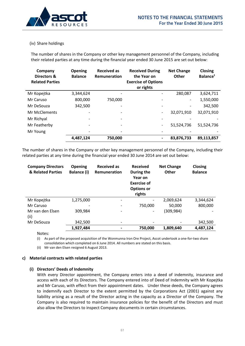

## (iv) Share holdings

The number of shares in the Company or other key management personnel of the Company, including their related parties at any time during the financial year ended 30 June 2015 are set out below:

| Company<br>Directors &<br><b>Related Parties</b> | <b>Opening</b><br><b>Balance</b> | <b>Received as</b><br><b>Remuneration</b> | <b>Received During</b><br>the Year on<br><b>Exercise of Options</b><br>or rights | <b>Net Change</b><br>Other | Closing<br>Balance <sup>1</sup> |
|--------------------------------------------------|----------------------------------|-------------------------------------------|----------------------------------------------------------------------------------|----------------------------|---------------------------------|
| Mr Kopejtka                                      | 3,344,624                        |                                           |                                                                                  | 280,087                    | 3,624,711                       |
| Mr Caruso                                        | 800,000                          | 750,000                                   |                                                                                  |                            | 1,550,000                       |
| Mr DeSouza                                       | 342,500                          |                                           | $\overline{\phantom{a}}$                                                         |                            | 342,500                         |
| Mr McClements                                    | -                                |                                           | $\overline{\phantom{a}}$                                                         | 32,071,910                 | 32,071,910                      |
| Mr Richyal                                       |                                  |                                           | $\overline{\phantom{a}}$                                                         |                            |                                 |
| Mr Featherby                                     | -                                |                                           | $\overline{\phantom{a}}$                                                         | 51,524,736                 | 51,524,736                      |
| Mr Young                                         | -                                |                                           |                                                                                  |                            |                                 |
|                                                  | 4,487,124                        | 750,000                                   | $\blacksquare$                                                                   | 83,876,733                 | 89,113,857                      |

The number of shares in the Company or other key management personnel of the Company, including their related parties at any time during the financial year ended 30 June 2014 are set out below:

| <b>Company Directors</b><br>& Related Parties | <b>Opening</b><br><b>Balance (i)</b> | <b>Received as</b><br>Remuneration | <b>Received</b><br>During the<br>Year on<br><b>Exercise of</b><br><b>Options or</b><br>rights | <b>Net Change</b><br>Other | Closing<br><b>Balance</b> |
|-----------------------------------------------|--------------------------------------|------------------------------------|-----------------------------------------------------------------------------------------------|----------------------------|---------------------------|
| Mr Kopejtka                                   | 1,275,000                            |                                    | -                                                                                             | 2,069,624                  | 3,344,624                 |
| Mr Caruso                                     |                                      |                                    | 750,000                                                                                       | 50,000                     | 800,000                   |
| Mr van den Elsen<br>(ii)                      | 309,984                              |                                    | -                                                                                             | (309,984)                  |                           |
| Mr DeSouza                                    | 342,500                              |                                    |                                                                                               |                            | 342,500                   |
|                                               | 1,927,484                            |                                    | 750,000                                                                                       | 1,809,640                  | 4,487,124                 |

Notes:

(i) As part of the proposed acquisition of the Wonmunna Iron Ore Project, Ascot undertook a one-for-two share consolidation which completed on 6 June 2014. All numbers are stated on this basis.

(ii) Mr van den Elsen resigned 6 August 2013.

#### **c) Material contracts with related parties**

#### **(i) Directors' Deeds of Indemnity**

With every Director appointment, the Company enters into a deed of indemnity, insurance and access with each of its Directors. The Company entered into of Deed of Indemnity with Mr Kopejtka and Mr Caruso, with effect from their appointment dates. Under these deeds, the Company agrees to indemnify each Director to the extent permitted by the Corporations Act (2001) against any liability arising as a result of the Director acting in the capacity as a Director of the Company. The Company is also required to maintain insurance policies for the benefit of the Directors and must also allow the Directors to inspect Company documents in certain circumstances.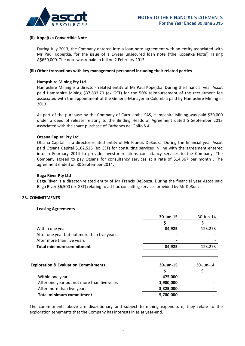

#### **(ii) Kopejtka Convertible Note**

During July 2013, the Company entered into a loan note agreement with an entity associated with Mr Paul Kopejtka, for the issue of a 1-year unsecured loan note ('the Kopejtka Note') raising A\$650,000. The note was repaid in full on 2 February 2015.

#### **(iii) Other transactions with key management personnel including their related parties**

#### **Hampshire Mining Pty Ltd**

Hampshire Mining is a director- related entity of Mr Paul Kopejtka. During the financial year Ascot paid Hampshire Mining \$37,833.70 (ex GST) for the 50% reimbursement of the recruitment fee associated with the appointment of the General Manager in Colombia paid by Hampshire Mining in 2013.

As part of the purchase by the Company of Carb Uraba SAS, Hampshire Mining was paid \$30,000 under a deed of release relating to the Binding Heads of Agreement dated 5 September 2013 associated with the share purchase of Carbones del Golfo S.A.

#### **Otsana Capital Pty Ltd**

Otsana Capital is a director-related entity of Mr Francis DeSouza. During the financial year Ascot paid Otsana Capital \$102,526 (ex GST) for consulting services in line with the agreement entered into in February 2014 to provide investor relations consultancy services to the Company. The Company agreed to pay Otsana for consultancy services at a rate of \$14,367 per month . The agreement ended on 30 September 2014.

#### **Baga River Pty Ltd**

Baga River is a director-related entity of Mr Francis DeSouza. During the financial year Ascot paid Baga River \$6,500 (ex GST) relating to ad-hoc consulting services provided by Mr DeSouza.

#### **23. COMMITMENTS**

#### **Leasing Agreements**

| 30-Jun-15 | 30-Jun-14              |
|-----------|------------------------|
|           | \$                     |
| 84,925    | 123,273                |
|           |                        |
|           |                        |
| 84,925    | 123,273                |
|           |                        |
|           | 30-Jun-14              |
| Ś         |                        |
| 475,000   |                        |
| 1,900,000 |                        |
| 3,325,000 |                        |
|           |                        |
|           | 30-Jun-15<br>5,700,000 |

The commitments above are discretionary and subject to mining expenditure, they relate to the exploration tenements that the Company has interests in as at year-end.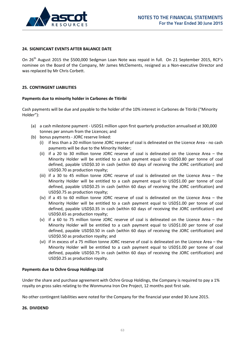

## **24. SIGNIFICANT EVENTS AFTER BALANCE DATE**

On 26<sup>th</sup> August 2015 the \$500,000 Sedgman Loan Note was repaid in full. On 21 September 2015, RCF's nominee on the Board of the Company, Mr James McClements, resigned as a Non-executive Director and was replaced by Mr Chris Corbett.

## **25. CONTINGENT LIABILITIES**

## **Payments due to minority holder in Carbones de Titiribi**

Cash payments will be due and payable to the holder of the 10% interest in Carbones de Titiribi ("Minority Holder"):

- (a) a cash milestone payment USD\$1 million upon first quarterly production annualised at 300,000 tonnes per annum from the Licences; and
- (b) bonus payments JORC reserve linked:
	- (i) if less than a 20 million tonne JORC reserve of coal is delineated on the Licence Area no cash payments will be due to the Minority Holder;
	- (ii) if a 20 to 30 million tonne JORC reserve of coal is delineated on the Licence Area the Minority Holder will be entitled to a cash payment equal to USD\$0.80 per tonne of coal defined, payable USD\$0.10 in cash (within 60 days of receiving the JORC certification) and USD\$0.70 as production royalty;
	- (iii) if a 30 to 45 million tonne JORC reserve of coal is delineated on the Licence Area the Minority Holder will be entitled to a cash payment equal to USD\$1.00 per tonne of coal defined, payable USD\$0.25 in cash (within 60 days of receiving the JORC certification) and USD\$0.75 as production royalty;
	- (iv) if a 45 to 60 million tonne JORC reserve of coal is delineated on the Licence Area the Minority Holder will be entitled to a cash payment equal to USD\$1.00 per tonne of coal defined, payable USD\$0.35 in cash (within 60 days of receiving the JORC certification) and USD\$0.65 as production royalty;
	- (v) if a 60 to 75 million tonne JORC reserve of coal is delineated on the Licence Area the Minority Holder will be entitled to a cash payment equal to USD\$1.00 per tonne of coal defined, payable USD\$0.50 in cash (within 60 days of receiving the JORC certification) and USD\$0.50 as production royalty; and
	- (vi) if in excess of a 75 million tonne JORC reserve of coal is delineated on the Licence Area the Minority Holder will be entitled to a cash payment equal to USD\$1.00 per tonne of coal defined, payable USD\$0.75 in cash (within 60 days of receiving the JORC certification) and USD\$0.25 as production royalty.

## **Payments due to Ochre Group Holdings Ltd**

Under the share and purchase agreement with Ochre Group Holdings, the Company is required to pay a 1% royalty on gross sales relating to the Wonmunna Iron Ore Project, 12 months post first sale.

No other contingent liabilities were noted for the Company for the financial year ended 30 June 2015.

## **26. DIVIDEND**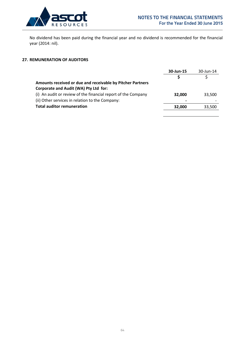

No dividend has been paid during the financial year and no dividend is recommended for the financial year (2014: nil).

#### **27. REMUNERATION OF AUDITORS**

|                                                               | 30-Jun-15 | 30-Jun-14 |
|---------------------------------------------------------------|-----------|-----------|
|                                                               |           |           |
| Amounts received or due and receivable by Pitcher Partners    |           |           |
| Corporate and Audit (WA) Pty Ltd for:                         |           |           |
| (i) An audit or review of the financial report of the Company | 32,000    | 33,500    |
| (ii) Other services in relation to the Company:               |           |           |
| <b>Total auditor remuneration</b>                             | 32,000    | 33,500    |
|                                                               |           |           |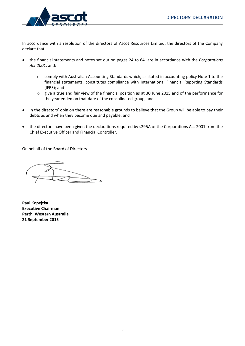

In accordance with a resolution of the directors of Ascot Resources Limited, the directors of the Company declare that:

- x the financial statements and notes set out on pages 24 to 64 are in accordance with the *Corporations Act 2001*, and:
	- o comply with Australian Accounting Standards which, as stated in accounting policy Note 1 to the financial statements, constitutes compliance with International Financial Reporting Standards (IFRS); and
	- o give a true and fair view of the financial position as at 30 June 2015 and of the performance for the year ended on that date of the consolidated group, and
- in the directors' opinion there are reasonable grounds to believe that the Group will be able to pay their debts as and when they become due and payable; and
- the directors have been given the declarations required by s295A of the Corporations Act 2001 from the Chief Executive Officer and Financial Controller.

On behalf of the Board of Directors

**Paul Kopejtka Executive Chairman Perth, Western Australia 21 September 2015**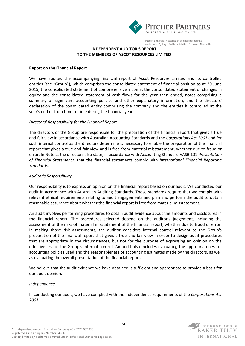

Pitcher Partners is an association of Independent firms Melbourne | Sydney | Perth | Adelaide | Brisbane | Newcastle

## **INDEPENDENT AUDITOR'S REPORT TO THE MEMBERS OF ASCOT RESOURCES LIMITED**

## **Report on the Financial Report**

We have audited the accompanying financial report of Ascot Resources Limited and its controlled entities (the "Group"), which comprises the consolidated statement of financial position as at 30 June 2015, the consolidated statement of comprehensive income, the consolidated statement of changes in equity and the consolidated statement of cash flows for the year then ended, notes comprising a summary of significant accounting policies and other explanatory information, and the directors' declaration of the consolidated entity comprising the company and the entities it controlled at the year's end or from time to time during the financial year.

## *Directors' Responsibility for the Financial Report*

The directors of the Group are responsible for the preparation of the financial report that gives a true and fair view in accordance with Australian Accounting Standards and the *Corporations Act 2001* and for such internal control as the directors determine is necessary to enable the preparation of the financial report that gives a true and fair view and is free from material misstatement, whether due to fraud or error. In Note 2, the directors also state, in accordance with Accounting Standard AASB 101 *Presentation of Financial Statements,* that the financial statements comply with *International Financial Reporting Standards*.

## *Auditor's Responsibility*

Our responsibility is to express an opinion on the financial report based on our audit. We conducted our audit in accordance with Australian Auditing Standards. Those standards require that we comply with relevant ethical requirements relating to audit engagements and plan and perform the audit to obtain reasonable assurance about whether the financial report is free from material misstatement.

An audit involves performing procedures to obtain audit evidence about the amounts and disclosures in the financial report. The procedures selected depend on the auditor's judgement, including the assessment of the risks of material misstatement of the financial report, whether due to fraud or error. In making those risk assessments, the auditor considers internal control relevant to the Group's preparation of the financial report that gives a true and fair view in order to design audit procedures that are appropriate in the circumstances, but not for the purpose of expressing an opinion on the effectiveness of the Group's internal control. An audit also includes evaluating the appropriateness of accounting policies used and the reasonableness of accounting estimates made by the directors, as well as evaluating the overall presentation of the financial report.

We believe that the audit evidence we have obtained is sufficient and appropriate to provide a basis for our audit opinion.

## *Independence*

In conducting our audit, we have complied with the independence requirements of the *Corporations Act 2001*.

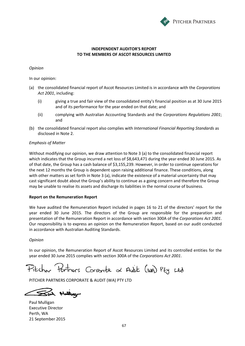

# **INDEPENDENT AUDITOR'S REPORT TO THE MEMBERS OF ASCOT RESOURCES LIMITED**

## *Opinion*

In our opinion:

- (a) the consolidated financial report of Ascot Resources Limited is in accordance with the *Corporations Act 2001*, including:
	- (i) giving a true and fair view of the consolidated entity's financial position as at 30 June 2015 and of its performance for the year ended on that date; and
	- (ii) complying with Australian Accounting Standards and the *Corporations Regulations 2001*; and
- (b) the consolidated financial report also complies with *International Financial Reporting Standards* as disclosed in Note 2.

#### *Emphasis of Matter*

Without modifying our opinion, we draw attention to Note 3 (a) to the consolidated financial report which indicates that the Group incurred a net loss of \$8,643,471 during the year ended 30 June 2015. As of that date, the Group has a cash balance of \$3,155,239. However, in order to continue operations for the next 12 months the Group is dependent upon raising additional finance. These conditions, along with other matters as set forth in Note 3 (a), indicate the existence of a material uncertainty that may cast significant doubt about the Group's ability to continue as a going concern and therefore the Group may be unable to realise its assets and discharge its liabilities in the normal course of business.

#### **Report on the Remuneration Report**

We have audited the Remuneration Report included in pages 16 to 21 of the directors' report for the year ended 30 June 2015. The directors of the Group are responsible for the preparation and presentation of the Remuneration Report in accordance with section 300A of the *Corporations Act 2001*. Our responsibility is to express an opinion on the Remuneration Report, based on our audit conducted in accordance with Australian Auditing Standards.

#### *Opinion*

In our opinion, the Remuneration Report of Ascot Resources Limited and its controlled entities for the year ended 30 June 2015 complies with section 300A of the *Corporations Act 2001*.

Pitcher Partners Corporate at Audit (WA) Pty Ltd

PITCHER PARTNERS CORPORATE & AUDIT (WA) PTY LTD

Sal Nulley

Paul Mulligan Executive Director Perth, WA 21 September 2015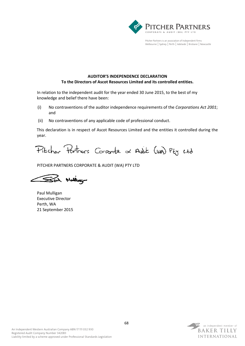

Pitcher Partners is an association of Independent firms Melbourne | Sydney | Perth | Adelaide | Brisbane | Newcastle

## **AUDITOR'S INDEPENDENCE DECLARATION To the Directors of Ascot Resources Limited and its controlled entities.**

In relation to the independent audit for the year ended 30 June 2015, to the best of my knowledge and belief there have been:

- (i) No contraventions of the auditor independence requirements of the *Corporations Act 2001*; and
- (ii) No contraventions of any applicable code of professional conduct.

This declaration is in respect of Ascot Resources Limited and the entities it controlled during the year.

Pitcher Pertners Corporate a Audit (wa) Pty Ltd

PITCHER PARTNERS CORPORATE & AUDIT (WA) PTY LTD

Sal Mulha

Paul Mulligan Executive Director Perth, WA 21 September 2015



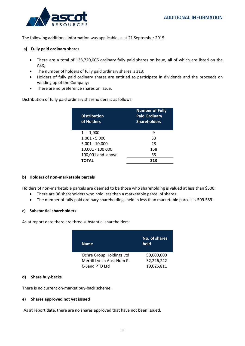

The following additional information was applicable as at 21 September 2015.

## **a) Fully paid ordinary shares**

- There are a total of 138,720,006 ordinary fully paid shares on issue, all of which are listed on the ASX;
- $\bullet$  The number of holders of fully paid ordinary shares is 313;
- Holders of fully paid ordinary shares are entitled to participate in dividends and the proceeds on winding up of the Company;
- There are no preference shares on issue.

Distribution of fully paid ordinary shareholders is as follows:

| <b>Number of Fully</b><br><b>Paid Ordinary</b><br><b>Shareholders</b> |  |  |
|-----------------------------------------------------------------------|--|--|
| 9                                                                     |  |  |
| 53                                                                    |  |  |
| 28                                                                    |  |  |
| 158                                                                   |  |  |
| 65                                                                    |  |  |
| 313                                                                   |  |  |
|                                                                       |  |  |

## **b) Holders of non-marketable parcels**

Holders of non-marketable parcels are deemed to be those who shareholding is valued at less than \$500:

- There are 96 shareholders who hold less than a marketable parcel of shares.
- The number of fully paid ordinary shareholdings held in less than marketable parcels is 509.589.

## **c) Substantial shareholders**

As at report date there are three substantial shareholders:

| <b>Name</b>               | No. of shares<br>held |  |
|---------------------------|-----------------------|--|
| Ochre Group Holdings Ltd  | 50,000,000            |  |
| Merrill Lynch Aust Nom PL | 32,226,242            |  |
| C-Sand PTD Ltd            | 19,625,811            |  |

## **d) Share buy-backs**

There is no current on-market buy-back scheme.

## **e) Shares approved not yet issued**

As at report date, there are no shares approved that have not been issued.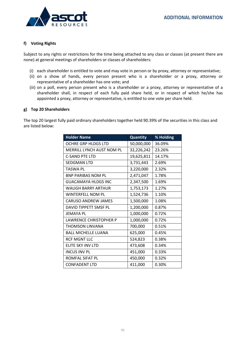

# **f) Voting Rights**

Subject to any rights or restrictions for the time being attached to any class or classes (at present there are none) at general meetings of shareholders or classes of shareholders:

- (i) each shareholder is entitled to vote and may vote in person or by proxy, attorney or representative;
- (ii) on a show of hands, every person present who is a shareholder or a proxy, attorney or representative of a shareholder has one vote; and
- (iii) on a poll, every person present who is a shareholder or a proxy, attorney or representative of a shareholder shall, in respect of each fully paid share held, or in respect of which he/she has appointed a proxy, attorney or representative, is entitled to one vote per share held.

# **g) Top 20 Shareholders**

The top 20 largest fully paid ordinary shareholders together held 90.39% of the securities in this class and are listed below:

| <b>Holder Name</b>            | <b>Quantity</b> | % Holding |
|-------------------------------|-----------------|-----------|
| OCHRE GRP HLDGS LTD           | 50,000,000      | 36.09%    |
| MERRILL LYNCH AUST NOM PL     | 32,226,242      | 23.26%    |
| <b>C-SAND PTE LTD</b>         | 19,625,811      | 14.17%    |
| <b>SEDGMAN LTD</b>            | 3,731,443       | 2.69%     |
| <b>TASWA PL</b>               | 3,220,000       | 2.32%     |
| <b>BNP PARIBAS NOM PL</b>     | 2,471,047       | 1.78%     |
| <b>GUACAMAYA HLDGS INC</b>    | 2,347,500       | 1.69%     |
| WAUGH BARRY ARTHUR            | 1,753,173       | 1.27%     |
| <b>WINTERFFLL NOM PL</b>      | 1,524,736       | 1.10%     |
| <b>CARUSO ANDREW JAMES</b>    | 1,500,000       | 1.08%     |
| DAVID TIPPETT SMSF PL         | 1,200,000       | 0.87%     |
| <b>JEMAYA PL</b>              | 1,000,000       | 0.72%     |
| <b>LAWRENCE CHRISTOPHER P</b> | 1,000,000       | 0.72%     |
| <b>THOMSON LINVANA</b>        | 700,000         | 0.51%     |
| <b>BALL MICHELLE LUANA</b>    | 625,000         | 0.45%     |
| <b>RCF MGNT LLC</b>           | 524,823         | 0.38%     |
| ELITE SKY INV LTD             | 473,608         | 0.34%     |
| <b>INCUS INV PL</b>           | 451,000         | 0.33%     |
| ROMFAL SIFAT PL               | 450,000         | 0.32%     |
| <b>CONFADENT LTD</b>          | 411,000         | 0.30%     |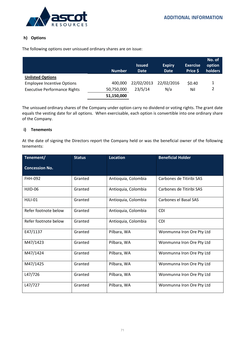

## **h) Options**

The following options over unissued ordinary shares are on issue:

|                                     | <b>Number</b> | <b>Issued</b><br><b>Date</b> | <b>Expiry</b><br><b>Date</b> | <b>Exercise</b><br>Price \$ | No. of<br>option<br>holders |
|-------------------------------------|---------------|------------------------------|------------------------------|-----------------------------|-----------------------------|
| <b>Unlisted Options</b>             |               |                              |                              |                             |                             |
| <b>Employee Incentive Options</b>   | 400.000       | 22/02/2013                   | 22/02/2016                   | \$0.40                      |                             |
| <b>Executive Performance Rights</b> | 50,750,000    | 23/5/14                      | N/a                          | Nil                         |                             |
|                                     | 51,150,000    |                              |                              |                             |                             |

The unissued ordinary shares of the Company under option carry no dividend or voting rights. The grant date equals the vesting date for all options. When exercisable, each option is convertible into one ordinary share of the Company.

## **i) Tenements**

At the date of signing the Directors report the Company held or was the beneficial owner of the following tenements:

| Tenement/             | <b>Status</b> | <b>Location</b>     | <b>Beneficial Holder</b>  |  |
|-----------------------|---------------|---------------------|---------------------------|--|
| <b>Concession No.</b> |               |                     |                           |  |
| <b>FHH-092</b>        | Granted       | Antioquia, Colombia | Carbones de Titiribi SAS  |  |
| HJID-06               | Granted       | Antioquia, Colombia | Carbones de Titiribi SAS  |  |
| $HJILI-01$            | Granted       | Antioquia, Colombia | Carbones el Basal SAS     |  |
| Refer footnote below  | Granted       | Antioquia, Colombia | <b>CDI</b>                |  |
| Refer footnote below  | Granted       | Antioquia, Colombia | <b>CDI</b>                |  |
| E47/1137              | Granted       | Pilbara, WA         | Wonmunna Iron Ore Pty Ltd |  |
| M47/1423              | Granted       | Pilbara, WA         | Wonmunna Iron Ore Pty Ltd |  |
| M47/1424              | Granted       | Pilbara, WA         | Wonmunna Iron Ore Pty Ltd |  |
| M47/1425              | Granted       | Pilbara, WA         | Wonmunna Iron Ore Pty Ltd |  |
| L47/726               | Granted       | Pilbara, WA         | Wonmunna Iron Ore Pty Ltd |  |
| L47/727               | Granted       | Pilbara, WA         | Wonmunna Iron Ore Pty Ltd |  |